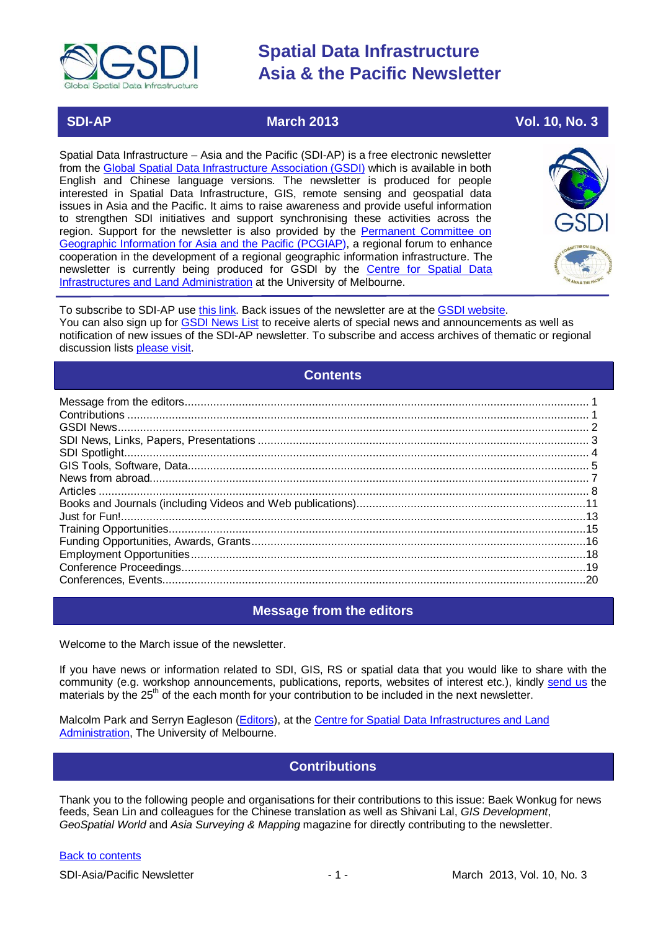

### **SDI-AP March 2013** Vol. 10, No. 3

Spatial Data Infrastructure – Asia and the Pacific (SDI-AP) is a free electronic newsletter from the [Global Spatial Data Infrastructure Association \(GSDI\)](http://www.gsdi.org/) which is available in both English and Chinese language versions. The newsletter is produced for people interested in Spatial Data Infrastructure, GIS, remote sensing and geospatial data issues in Asia and the Pacific. It aims to raise awareness and provide useful information to strengthen SDI initiatives and support synchronising these activities across the region. Support for the newsletter is also provided by the Permanent Committee on [Geographic Information for Asia and the Pacific \(PCGIAP\)](http://www.pcgiap.org/), a regional forum to enhance cooperation in the development of a regional geographic information infrastructure. The newsletter is currently being produced for GSDI by the [Centre for Spatial Data](http://www.csdila.unimelb.edu.au/)  [Infrastructures and Land Administration](http://www.csdila.unimelb.edu.au/) at the University of Melbourne.



To subscribe to SDI-AP use [this link.](http://www.gsdi.org/newslist/gsdisubscribe.asp) Back issues of the newsletter are at the [GSDI website.](http://www.gsdi.org/newsletters.asp) You can also sign up for [GSDI News List](http://www.gsdi.org/newslist/gsdisubscribe.asp) to receive alerts of special news and announcements as well as notification of new issues of the SDI-AP newsletter. To subscribe and access archives of thematic or regional discussion lists [please visit.](http://www.gsdi.org/discussionlists.asp)

### **Contents**

<span id="page-0-0"></span>

## **Message from the editors**

<span id="page-0-1"></span>Welcome to the March issue of the newsletter.

If you have news or information related to SDI, GIS, RS or spatial data that you would like to share with the community (e.g. workshop announcements, publications, reports, websites of interest etc.), kindly [send us](mailto:.SDI-AP@gsdi.org) the materials by the 25<sup>th</sup> of the each month for your contribution to be included in the next newsletter.

<span id="page-0-2"></span>Malcolm Park and Serryn Eagleson [\(Editors\)](mailto:Editor.SDIAP@gmail.com), at the [Centre for Spatial Data Infrastructures and Land](http://www.csdila.unimelb.edu.au/)  [Administration,](http://www.csdila.unimelb.edu.au/) The University of Melbourne.

## **Contributions**

Thank you to the following people and organisations for their contributions to this issue: Baek Wonkug for news feeds, Sean Lin and colleagues for the Chinese translation as well as Shivani Lal, *GIS Development*, *GeoSpatial World* and *Asia Surveying & Mapping* magazine for directly contributing to the newsletter.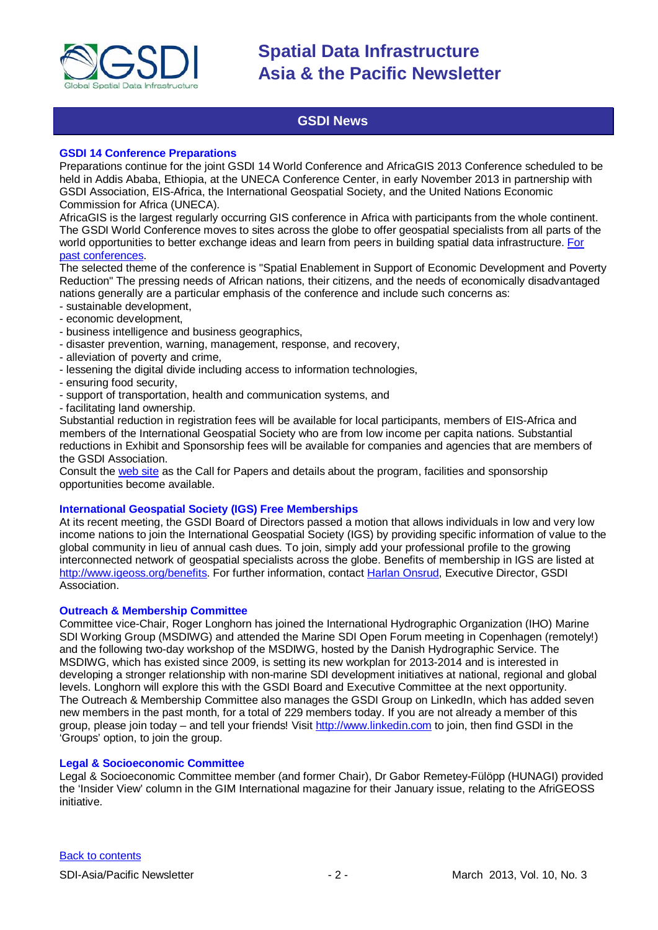

## **GSDI News**

#### <span id="page-1-0"></span>**GSDI 14 Conference Preparations**

Preparations continue for the joint GSDI 14 World Conference and AfricaGIS 2013 Conference scheduled to be held in Addis Ababa, Ethiopia, at the UNECA Conference Center, in early November 2013 in partnership with GSDI Association, EIS-Africa, the International Geospatial Society, and the United Nations Economic Commission for Africa (UNECA).

AfricaGIS is the largest regularly occurring GIS conference in Africa with participants from the whole continent. The GSDI World Conference moves to sites across the globe to offer geospatial specialists from all parts of the world opportunities to better exchange ideas and learn from peers in building spatial data infrastructure. [For](http://www.gsdi.org/gsdiConferences)  [past conferences.](http://www.gsdi.org/gsdiConferences)

The selected theme of the conference is "Spatial Enablement in Support of Economic Development and Poverty Reduction" The pressing needs of African nations, their citizens, and the needs of economically disadvantaged nations generally are a particular emphasis of the conference and include such concerns as:

- sustainable development,
- economic development,
- business intelligence and business geographics,
- disaster prevention, warning, management, response, and recovery,
- alleviation of poverty and crime,
- lessening the digital divide including access to information technologies,
- ensuring food security,
- support of transportation, health and communication systems, and
- facilitating land ownership.

Substantial reduction in registration fees will be available for local participants, members of EIS-Africa and members of the International Geospatial Society who are from low income per capita nations. Substantial reductions in Exhibit and Sponsorship fees will be available for companies and agencies that are members of the GSDI Association.

Consult the [web site](http://gsdi.org/gsdi14) as the Call for Papers and details about the program, facilities and sponsorship opportunities become available.

#### **International Geospatial Society (IGS) Free Memberships**

At its recent meeting, the GSDI Board of Directors passed a motion that allows individuals in low and very low income nations to join the International Geospatial Society (IGS) by providing specific information of value to the global community in lieu of annual cash dues. To join, simply add your professional profile to the growing interconnected network of geospatial specialists across the globe. Benefits of membership in IGS are listed at [http://www.igeoss.org/benefits.](https://owa.unimelb.edu.au/owa/redir.aspx?C=54c2b4d3973d480282dc7c38384f4204&URL=http%3a%2f%2fwww.igeoss.org%2fbenefits) For further information, contact [Harlan Onsrud,](mailto:onsrud@gsdi.org) Executive Director, GSDI Association.

#### **Outreach & Membership Committee**

Committee vice-Chair, Roger Longhorn has joined the International Hydrographic Organization (IHO) Marine SDI Working Group (MSDIWG) and attended the Marine SDI Open Forum meeting in Copenhagen (remotely!) and the following two-day workshop of the MSDIWG, hosted by the Danish Hydrographic Service. The MSDIWG, which has existed since 2009, is setting its new workplan for 2013-2014 and is interested in developing a stronger relationship with non-marine SDI development initiatives at national, regional and global levels. Longhorn will explore this with the GSDI Board and Executive Committee at the next opportunity. The Outreach & Membership Committee also manages the GSDI Group on LinkedIn, which has added seven new members in the past month, for a total of 229 members today. If you are not already a member of this group, please join today – and tell your friends! Visit [http://www.linkedin.com](https://owa.unimelb.edu.au/owa/redir.aspx?C=rDg2dzQe3UKfwin28aspI4dcf2EJ4c8IKc_jDEPg91nlCdVQBzUX28or6ioXGu07OXWheK19Jyk.&URL=http%3a%2f%2fwww.linkedin.com) to join, then find GSDI in the 'Groups' option, to join the group.

#### **Legal & Socioeconomic Committee**

Legal & Socioeconomic Committee member (and former Chair), Dr Gabor Remetey-Fülöpp (HUNAGI) provided the 'Insider View' column in the GIM International magazine for their January issue, relating to the AfriGEOSS initiative.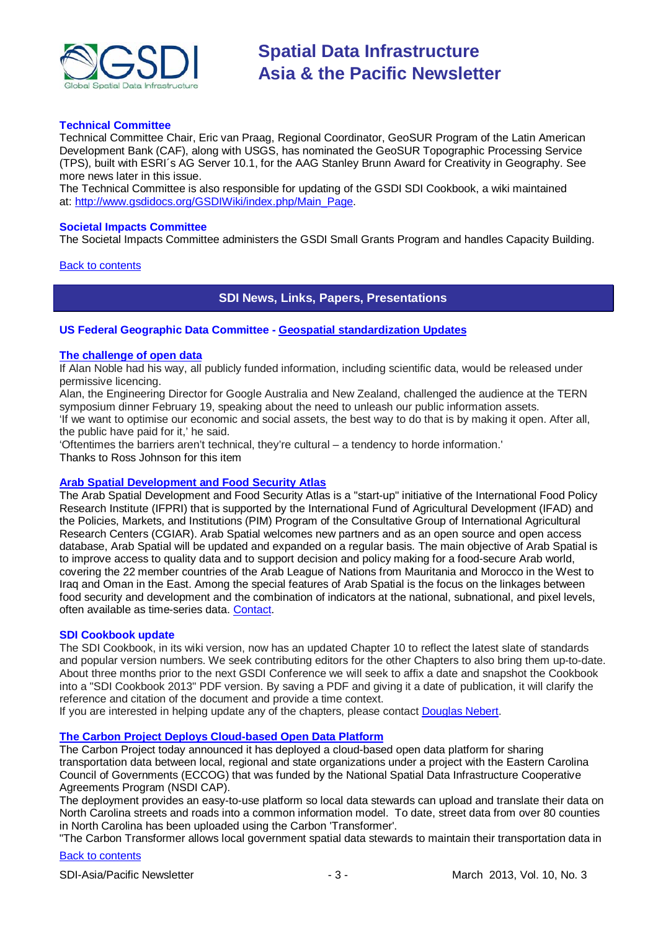

#### **Technical Committee**

Technical Committee Chair, Eric van Praag, Regional Coordinator, GeoSUR Program of the Latin American Development Bank (CAF), along with USGS, has nominated the GeoSUR Topographic Processing Service (TPS), built with ESRI´s AG Server 10.1, for the AAG Stanley Brunn Award for Creativity in Geography. See more news later in this issue.

The Technical Committee is also responsible for updating of the GSDI SDI Cookbook, a wiki maintained at: [http://www.gsdidocs.org/GSDIWiki/index.php/Main\\_Page.](https://owa.unimelb.edu.au/owa/redir.aspx?C=rDg2dzQe3UKfwin28aspI4dcf2EJ4c8IKc_jDEPg91nlCdVQBzUX28or6ioXGu07OXWheK19Jyk.&URL=http%3a%2f%2fwww.gsdidocs.org%2fGSDIWiki%2findex.php%2fMain_Page)

#### **Societal Impacts Committee**

The Societal Impacts Committee administers the GSDI Small Grants Program and handles Capacity Building.

<span id="page-2-0"></span>[Back to contents](#page-0-0)

**SDI News, Links, Papers, Presentations**

#### **US Federal Geographic Data Committee - [Geospatial standardization Updates](http://www.fgdc.gov/standards/monthlyStandardsUpdate/index)**

#### **[The challenge of open data](http://www.tern.org.au/Newsletter-2013-Feb-Symposium-Data-Infrastructure-pg25281.html)**

If Alan Noble had his way, all publicly funded information, including scientific data, would be released under permissive licencing.

Alan, the Engineering Director for Google Australia and New Zealand, challenged the audience at the TERN symposium dinner February 19, speaking about the need to unleash our public information assets. 'If we want to optimise our economic and social assets, the best way to do that is by making it open. After all, the public have paid for it,' he said.

'Oftentimes the barriers aren't technical, they're cultural – a tendency to horde information.' Thanks to Ross Johnson for this item

#### **[Arab Spatial Development and Food Security Atlas](http://www.arabspatial.org/)**

The Arab Spatial Development and Food Security Atlas is a "start-up" initiative of the International Food Policy Research Institute (IFPRI) that is supported by the International Fund of Agricultural Development (IFAD) and the Policies, Markets, and Institutions (PIM) Program of the Consultative Group of International Agricultural Research Centers (CGIAR). Arab Spatial welcomes new partners and as an open source and open access database, Arab Spatial will be updated and expanded on a regular basis. The main objective of Arab Spatial is to improve access to quality data and to support decision and policy making for a food-secure Arab world, covering the 22 member countries of the Arab League of Nations from Mauritania and Morocco in the West to Iraq and Oman in the East. Among the special features of Arab Spatial is the focus on the linkages between food security and development and the combination of indicators at the national, subnational, and pixel levels, often available as time-series data. [Contact.](mailto:ifpri-mena@cgiar.org)

#### **SDI Cookbook update**

The SDI Cookbook, in its wiki version, now has an updated Chapter 10 to reflect the latest slate of standards and popular version numbers. We seek contributing editors for the other Chapters to also bring them up-to-date. About three months prior to the next GSDI Conference we will seek to affix a date and snapshot the Cookbook into a "SDI Cookbook 2013" PDF version. By saving a PDF and giving it a date of publication, it will clarify the reference and citation of the document and provide a time context.

If you are interested in helping update any of the chapters, please contact [Douglas Nebert.](mailto:ddnebert@usgs.gov)

#### **[The Carbon Project Deploys Cloud-based Open Data Platform](http://www.thecarbonproject.com/cloud-based-open-data-platform.php)**

The Carbon Project today announced it has deployed a cloud-based open data platform for sharing transportation data between local, regional and state organizations under a project with the Eastern Carolina Council of Governments (ECCOG) that was funded by the National Spatial Data Infrastructure Cooperative Agreements Program (NSDI CAP).

The deployment provides an easy-to-use platform so local data stewards can upload and translate their data on North Carolina streets and roads into a common information model. To date, street data from over 80 counties in North Carolina has been uploaded using the Carbon 'Transformer'.

"The Carbon Transformer allows local government spatial data stewards to maintain their transportation data in

#### [Back to contents](#page-0-0)

SDI-Asia/Pacific Newsletter 1992 12:3 - 3 - March 2013, Vol. 10, No. 3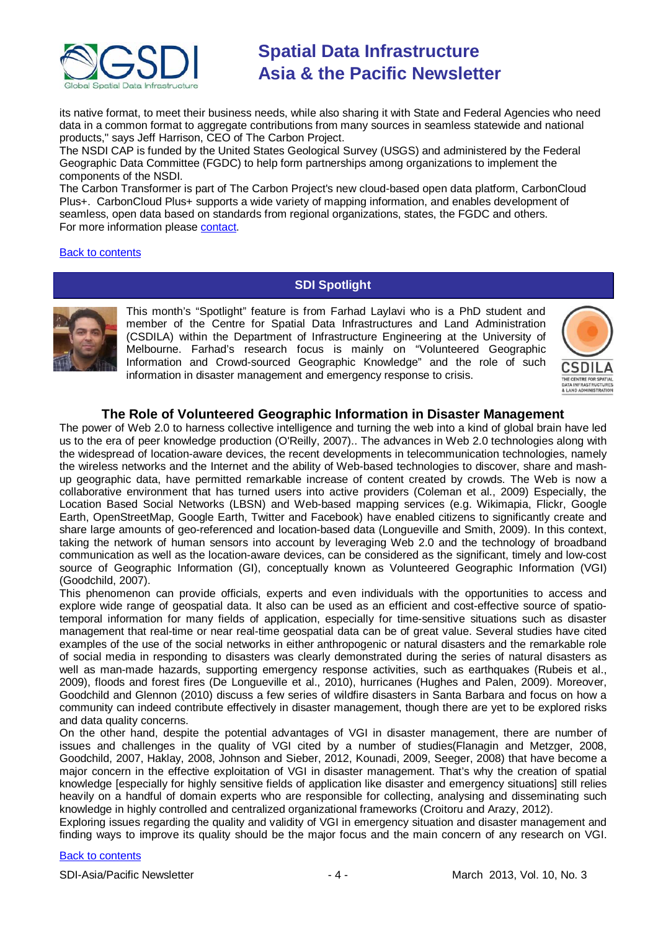

its native format, to meet their business needs, while also sharing it with State and Federal Agencies who need data in a common format to aggregate contributions from many sources in seamless statewide and national products," says Jeff Harrison, CEO of The Carbon Project.

The NSDI CAP is funded by the United States Geological Survey (USGS) and administered by the Federal Geographic Data Committee (FGDC) to help form partnerships among organizations to implement the components of the NSDI.

The Carbon Transformer is part of The Carbon Project's new cloud-based open data platform, CarbonCloud Plus+. CarbonCloud Plus+ supports a wide variety of mapping information, and enables development of seamless, open data based on standards from regional organizations, states, the FGDC and others. For more information please [contact.](mailto:info@thecarbonproject.com)

#### <span id="page-3-0"></span>[Back to contents](#page-0-0)

## **SDI Spotlight**



This month's "Spotlight" feature is from Farhad Laylavi who is a PhD student and member of the Centre for Spatial Data Infrastructures and Land Administration (CSDILA) within the Department of Infrastructure Engineering at the University of Melbourne. Farhad's research focus is mainly on "Volunteered Geographic Information and Crowd-sourced Geographic Knowledge" and the role of such information in disaster management and emergency response to crisis.



### **The Role of Volunteered Geographic Information in Disaster Management**

The power of Web 2.0 to harness collective intelligence and turning the web into a kind of global brain have led us to the era of peer knowledge production [\(O'Reilly, 2007\)](#page-4-1).. The advances in Web 2.0 technologies along with the widespread of location-aware devices, the recent developments in telecommunication technologies, namely the wireless networks and the Internet and the ability of Web-based technologies to discover, share and mashup geographic data, have permitted remarkable increase of content created by crowds. The Web is now a collaborative environment that has turned users into active providers [\(Coleman et al., 2009\)](#page-4-2) Especially, the Location Based Social Networks (LBSN) and Web-based mapping services (e.g. Wikimapia, Flickr, Google Earth, OpenStreetMap, Google Earth, Twitter and Facebook) have enabled citizens to significantly create and share large amounts of geo-referenced and location-based data [\(Longueville and Smith, 2009\)](#page-4-3). In this context, taking the network of human sensors into account by leveraging Web 2.0 and the technology of broadband communication as well as the location-aware devices, can be considered as the significant, timely and low-cost source of Geographic Information (GI), conceptually known as Volunteered Geographic Information (VGI) [\(Goodchild, 2007\)](#page-4-4).

This phenomenon can provide officials, experts and even individuals with the opportunities to access and explore wide range of geospatial data. It also can be used as an efficient and cost-effective source of spatiotemporal information for many fields of application, especially for time-sensitive situations such as disaster management that real-time or near real-time geospatial data can be of great value. Several studies have cited examples of the use of the social networks in either anthropogenic or natural disasters and the remarkable role of social media in responding to disasters was clearly demonstrated during the series of natural disasters as well as man-made hazards, supporting emergency response activities, such as earthquakes (Rubeis et al., [2009\)](#page-4-5), floods and forest fires [\(De Longueville et al., 2010\)](#page-4-6), hurricanes [\(Hughes and Palen, 2009\)](#page-4-7). Moreover, Goodchild and Glennon [\(2010\)](#page-4-8) discuss a few series of wildfire disasters in Santa Barbara and focus on how a community can indeed contribute effectively in disaster management, though there are yet to be explored risks and data quality concerns.

On the other hand, despite the potential advantages of VGI in disaster management, there are number of issues and challenges in the quality of VGI cited by a number of studies[\(Flanagin and Metzger, 2008,](#page-4-9) [Goodchild, 2007,](#page-4-4) [Haklay, 2008,](#page-4-10) [Johnson and Sieber, 2012,](#page-4-11) [Kounadi, 2009,](#page-4-12) [Seeger, 2008\)](#page-4-13) that have become a major concern in the effective exploitation of VGI in disaster management. That's why the creation of spatial knowledge [especially for highly sensitive fields of application like disaster and emergency situations] still relies heavily on a handful of domain experts who are responsible for collecting, analysing and disseminating such knowledge in highly controlled and centralized organizational frameworks [\(Croitoru and Arazy, 2012\)](#page-4-14).

Exploring issues regarding the quality and validity of VGI in emergency situation and disaster management and finding ways to improve its quality should be the major focus and the main concern of any research on VGI.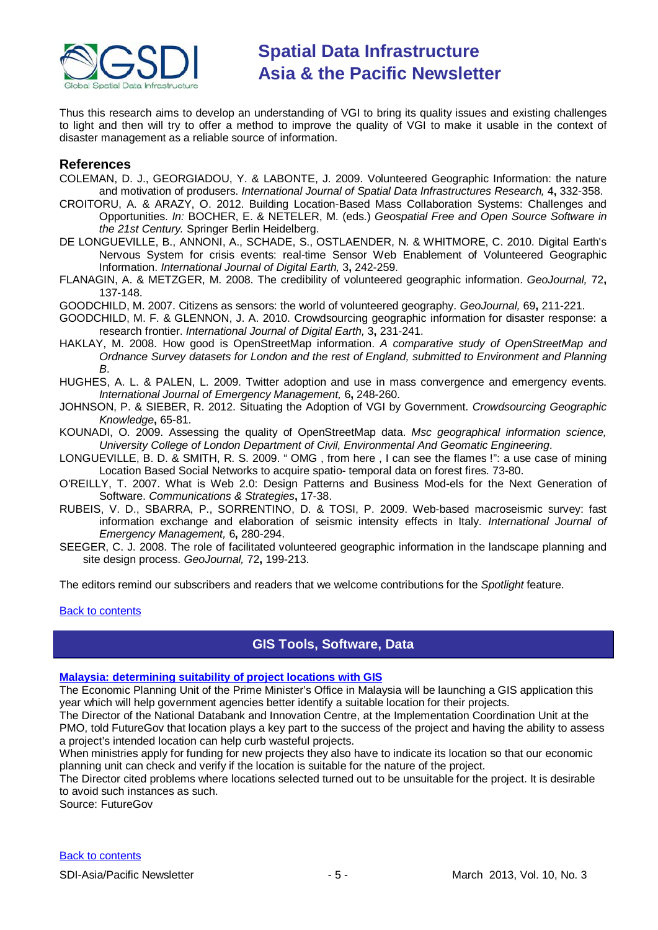

Thus this research aims to develop an understanding of VGI to bring its quality issues and existing challenges to light and then will try to offer a method to improve the quality of VGI to make it usable in the context of disaster management as a reliable source of information.

### **References**

- <span id="page-4-2"></span>COLEMAN, D. J., GEORGIADOU, Y. & LABONTE, J. 2009. Volunteered Geographic Information: the nature and motivation of produsers. *International Journal of Spatial Data Infrastructures Research,* 4**,** 332-358.
- <span id="page-4-14"></span>CROITORU, A. & ARAZY, O. 2012. Building Location-Based Mass Collaboration Systems: Challenges and Opportunities. *In:* BOCHER, E. & NETELER, M. (eds.) *Geospatial Free and Open Source Software in the 21st Century.* Springer Berlin Heidelberg.
- <span id="page-4-6"></span>DE LONGUEVILLE, B., ANNONI, A., SCHADE, S., OSTLAENDER, N. & WHITMORE, C. 2010. Digital Earth's Nervous System for crisis events: real-time Sensor Web Enablement of Volunteered Geographic Information. *International Journal of Digital Earth,* 3**,** 242-259.
- <span id="page-4-9"></span>FLANAGIN, A. & METZGER, M. 2008. The credibility of volunteered geographic information. *GeoJournal,* 72**,** 137-148.

<span id="page-4-4"></span>GOODCHILD, M. 2007. Citizens as sensors: the world of volunteered geography. *GeoJournal,* 69**,** 211-221.

- <span id="page-4-8"></span>GOODCHILD, M. F. & GLENNON, J. A. 2010. Crowdsourcing geographic information for disaster response: a research frontier. *International Journal of Digital Earth,* 3**,** 231-241.
- <span id="page-4-10"></span>HAKLAY, M. 2008. How good is OpenStreetMap information. *A comparative study of OpenStreetMap and Ordnance Survey datasets for London and the rest of England, submitted to Environment and Planning B*.
- <span id="page-4-7"></span>HUGHES, A. L. & PALEN, L. 2009. Twitter adoption and use in mass convergence and emergency events. *International Journal of Emergency Management,* 6**,** 248-260.
- <span id="page-4-11"></span>JOHNSON, P. & SIEBER, R. 2012. Situating the Adoption of VGI by Government. *Crowdsourcing Geographic Knowledge***,** 65-81.
- <span id="page-4-12"></span>KOUNADI, O. 2009. Assessing the quality of OpenStreetMap data. *Msc geographical information science, University College of London Department of Civil, Environmental And Geomatic Engineering*.
- <span id="page-4-3"></span>LONGUEVILLE, B. D. & SMITH, R. S. 2009. " OMG , from here , I can see the flames !": a use case of mining Location Based Social Networks to acquire spatio- temporal data on forest fires. 73-80.
- <span id="page-4-1"></span>O'REILLY, T. 2007. What is Web 2.0: Design Patterns and Business Mod-els for the Next Generation of Software. *Communications & Strategies***,** 17-38.
- <span id="page-4-5"></span>RUBEIS, V. D., SBARRA, P., SORRENTINO, D. & TOSI, P. 2009. Web-based macroseismic survey: fast information exchange and elaboration of seismic intensity effects in Italy. *International Journal of Emergency Management,* 6**,** 280-294.
- <span id="page-4-13"></span>SEEGER, C. J. 2008. The role of facilitated volunteered geographic information in the landscape planning and site design process. *GeoJournal,* 72**,** 199-213.

The editors remind our subscribers and readers that we welcome contributions for the *Spotlight* feature.

#### <span id="page-4-0"></span>[Back to contents](#page-0-0)

## **GIS Tools, Software, Data**

#### **[Malaysia: determining suitability of project locations with GIS](http://www.futuregov.asia/articles/2013/jan/28/malaysia-use-gis-identify-suitable-project-locatio/)**

The Economic Planning Unit of the Prime Minister's Office in Malaysia will be launching a GIS application this year which will help government agencies better identify a suitable location for their projects.

The Director of the National Databank and Innovation Centre, at the Implementation Coordination Unit at the PMO, told FutureGov that location plays a key part to the success of the project and having the ability to assess a project's intended location can help curb wasteful projects.

When ministries apply for funding for new projects they also have to indicate its location so that our economic planning unit can check and verify if the location is suitable for the nature of the project.

The Director cited problems where locations selected turned out to be unsuitable for the project. It is desirable to avoid such instances as such.

Source: FutureGov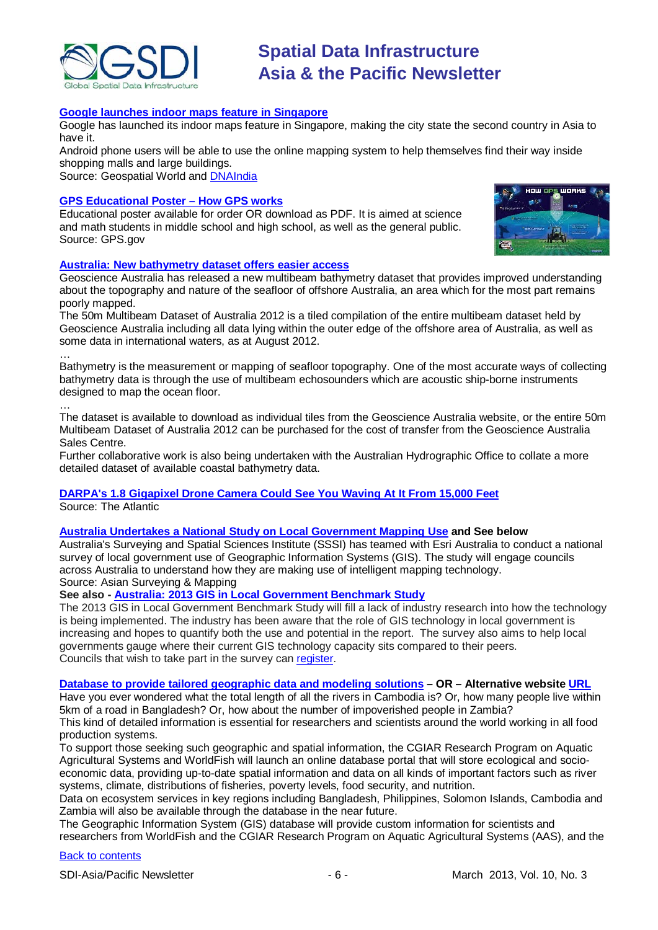

#### **[Google launches indoor maps feature in Singapore](http://www.geospatialworld.net/News/View.aspx?id=26398_Article)**

Google has launched its indoor maps feature in Singapore, making the city state the second country in Asia to have it.

Android phone users will be able to use the online mapping system to help themselves find their way inside shopping malls and large buildings.

Source: Geospatial World and **DNAIndia** 

#### **[GPS Educational Poster](http://www.gps.gov/multimedia/poster/) – How GPS works**

Educational poster available for order OR download as PDF. It is aimed at science and math students in middle school and high school, as well as the general public. Source: GPS.gov



#### **[Australia: New bathymetry dataset offers easier access](http://www.ga.gov.au/about-us/news-media/news-2013/new-bathymetry-dataset-offers-easier-access.html)**

Geoscience Australia has released a new multibeam bathymetry dataset that provides improved understanding about the topography and nature of the seafloor of offshore Australia, an area which for the most part remains poorly mapped.

The 50m Multibeam Dataset of Australia 2012 is a tiled compilation of the entire multibeam dataset held by Geoscience Australia including all data lying within the outer edge of the offshore area of Australia, as well as some data in international waters, as at August 2012.

Bathymetry is the measurement or mapping of seafloor topography. One of the most accurate ways of collecting bathymetry data is through the use of multibeam echosounders which are acoustic ship-borne instruments designed to map the ocean floor.

…

…

The dataset is available to download as individual tiles from the Geoscience Australia website, or the entire 50m Multibeam Dataset of Australia 2012 can be purchased for the cost of transfer from the Geoscience Australia Sales Centre.

Further collaborative work is also being undertaken with the Australian Hydrographic Office to collate a more detailed dataset of available coastal bathymetry data.

#### **[DARPA's 1.8 Gigapixel Drone Camera Could See You Waving At It From 15,000 Feet](http://www.theatlantic.com/technology/archive/2013/02/darpas-18-gigapixel-drone-camera-could-see-you-waving-at-it-from-15-000-feet/272796/)** Source: The Atlantic

#### **[Australia Undertakes a National Study on Local Government Mapping Use](http://www.asmmag.com/2012-12-30-14-40-18/feature/4751-australia-undertakes-a-national-study-on-local-government-mapping-use.html) and See below**

Australia's Surveying and Spatial Sciences Institute (SSSI) has teamed with Esri Australia to conduct a national survey of local government use of Geographic Information Systems (GIS). The study will engage councils across Australia to understand how they are making use of intelligent mapping technology. Source: Asian Surveying & Mapping

#### **See also - [Australia: 2013 GIS in Local Government Benchmark Study](http://esriaustralia.com.au/benchmark-study)**

The 2013 GIS in Local Government Benchmark Study will fill a lack of industry research into how the technology is being implemented. The industry has been aware that the role of GIS technology in local government is increasing and hopes to quantify both the use and potential in the report. The survey also aims to help local governments gauge where their current GIS technology capacity sits compared to their peers. Councils that wish to take part in the survey can [register.](http://www.esriaustralia.com.au/benchmark-study)

#### **[Database to provide tailored geographic data and modeling solutions](http://www.worldfishcenter.org/news-events/database-provide-tailored-geographic-data-modeling-solutions) – OR – Alternative websit[e URL](http://aas.cgiar.org/activity/news/database-provide-tailored-geographic-data-and-modeling-solutions)**

Have you ever wondered what the total length of all the rivers in Cambodia is? Or, how many people live within 5km of a road in Bangladesh? Or, how about the number of impoverished people in Zambia? This kind of detailed information is essential for researchers and scientists around the world working in all food production systems.

To support those seeking such geographic and spatial information, the CGIAR Research Program on Aquatic Agricultural Systems and WorldFish will launch an online database portal that will store ecological and socioeconomic data, providing up-to-date spatial information and data on all kinds of important factors such as river systems, climate, distributions of fisheries, poverty levels, food security, and nutrition.

Data on ecosystem services in key regions including Bangladesh, Philippines, Solomon Islands, Cambodia and Zambia will also be available through the database in the near future.

The Geographic Information System (GIS) database will provide custom information for scientists and researchers from WorldFish and the CGIAR Research Program on Aquatic Agricultural Systems (AAS), and the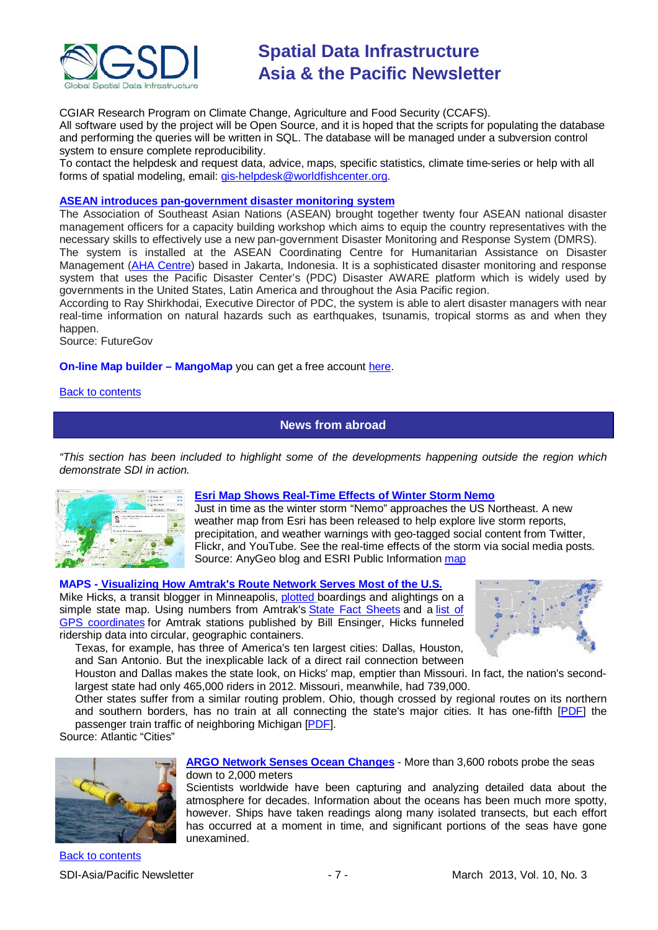

CGIAR Research Program on Climate Change, Agriculture and Food Security (CCAFS). All software used by the project will be Open Source, and it is hoped that the scripts for populating the database

and performing the queries will be written in SQL. The database will be managed under a subversion control system to ensure complete reproducibility.

To contact the helpdesk and request data, advice, maps, specific statistics, climate time-series or help with all forms of spatial modeling, email: [gis-helpdesk@worldfishcenter.org.](mailto:gis-helpdesk@worldfishcenter.org)

#### **[ASEAN introduces pan-government disaster monitoring system](http://www.futuregov.asia/articles/2013/feb/07/asean-introduces-pan-government-disaster-monitorin/)**

The Association of Southeast Asian Nations (ASEAN) brought together twenty four ASEAN national disaster management officers for a capacity building workshop which aims to equip the country representatives with the necessary skills to effectively use a new pan-government Disaster Monitoring and Response System (DMRS).

The system is installed at the ASEAN Coordinating Centre for Humanitarian Assistance on Disaster Management [\(AHA Centre\)](http://www.ahacentre.org/) based in Jakarta, Indonesia. It is a sophisticated disaster monitoring and response system that uses the Pacific Disaster Center's (PDC) Disaster AWARE platform which is widely used by governments in the United States, Latin America and throughout the Asia Pacific region.

According to Ray Shirkhodai, Executive Director of PDC, the system is able to alert disaster managers with near real-time information on natural hazards such as earthquakes, tsunamis, tropical storms as and when they happen.

Source: FutureGov

**On-line Map builder – MangoMap** you can get a free account [here.](http://mangomap.com/get_started)

#### <span id="page-6-0"></span>[Back to contents](#page-0-0)

### **News from abroad**

*"This section has been included to highlight some of the developments happening outside the region which demonstrate SDI in action.*



#### **Esri Map Shows [Real-Time Effects of Winter Storm Nemo](http://blog.gisuser.com/2013/02/08/esri-map-shows-real-time-effects-of-winter-storm-nemo/)**

Just in time as the winter storm "Nemo" approaches the US Northeast. A new weather map from Esri has been released to help explore live storm reports, precipitation, and weather warnings with geo-tagged social content from Twitter, Flickr, and YouTube. See the real-time effects of the storm via social media posts. Source: AnyGeo blog and ESRI Public Information [map](http://tmappsevents.esri.com/website/pim_severe_weather/index.html?bm=top&lrs=b59a%2Ca472%2Ce46f%2C9764%2C38bf%2C6ba2%2Cyoutube%2Ctwitter%2Cflickr&ytkw=storm&ytr=this_week&twkw=noreaster%20OR%20storm%20OR%20Nemo&flkw=storm&flr=1-1-2013%2C2-7-2013&smd=1&xmi)

#### **MAPS - [Visualizing How Amtrak's Route Network Serves Most of the U.S.](http://www.theatlanticcities.com/jobs-and-economy/2013/02/visualizing-how-poorly-amtraks-route-network-serves-most-us/4620/)**

Mike Hicks, a transit blogger in Minneapolis, [plotted](https://www.flickr.com/photos/mulad/8451687034/in/photostream) boardings and alightings on a simple state map. Using numbers from Amtrak's [State Fact Sheets](http://www.amtrak.com/servlet/ContentServer?c=Page&pagename=am%2FLayout&cid=1246041980432) and a list of [GPS coordinates](http://www.ensingers.com/Bill222E/gpsamtrak.html) for Amtrak stations published by Bill Ensinger, Hicks funneled ridership data into circular, geographic containers.



Texas, for example, has three of America's ten largest cities: Dallas, Houston, and San Antonio. But the inexplicable lack of a direct rail connection between

Houston and Dallas makes the state look, on Hicks' map, emptier than Missouri. In fact, the nation's secondlargest state had only 465,000 riders in 2012. Missouri, meanwhile, had 739,000.

Other states suffer from a similar routing problem. Ohio, though crossed by regional routes on its northern and southern borders, has no train at all connecting the state's major cities. It has one-fifth [\[PDF\]](http://www.amtrak.com/pdf/factsheets/MICHIGAN12.pdf) the passenger train traffic of neighboring Michigan [\[PDF\]](http://www.amtrak.com/pdf/factsheets/MICHIGAN12.pdf).

Source: Atlantic "Cities"



**[ARGO Network Senses Ocean Changes](http://www.scientificamerican.com/article.cfm?id=riser-argo-network-senses-ocean-changes&WT.mc_id=SA_CAT_TECH_20130212)** - More than 3,600 robots probe the seas down to 2,000 meters

Scientists worldwide have been capturing and analyzing detailed data about the atmosphere for decades. Information about the oceans has been much more spotty, however. Ships have taken readings along many isolated transects, but each effort has occurred at a moment in time, and significant portions of the seas have gone unexamined.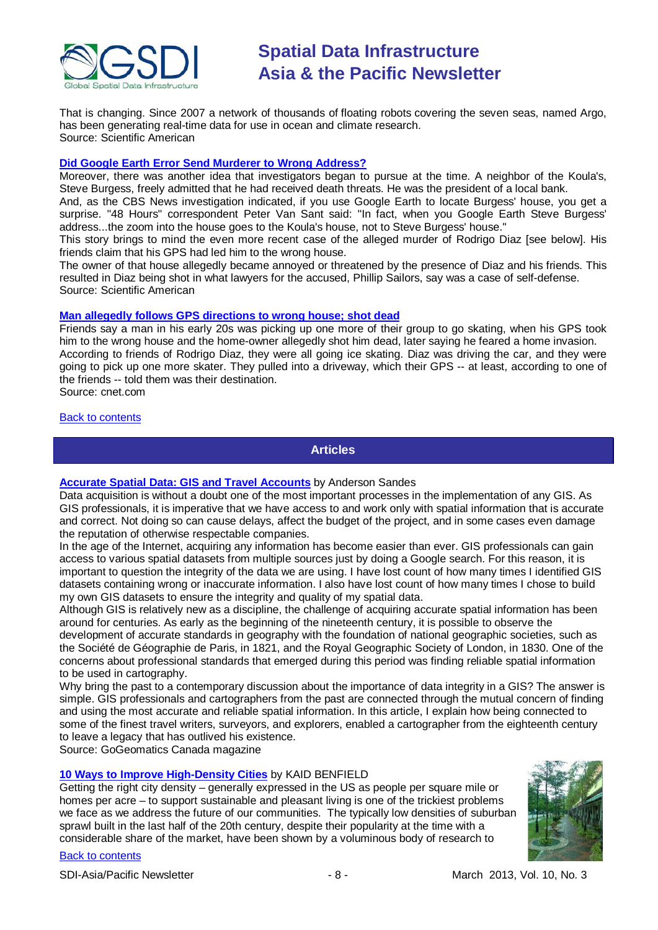

That is changing. Since 2007 a network of thousands of floating robots covering the seven seas, named Argo, has been generating real-time data for use in ocean and climate research. Source: Scientific American

#### **[Did Google Earth Error Send Murderer to Wrong Address?](http://www.scientificamerican.com/article.cfm?id=did-google-earth-error-send-murdere-2013-02&WT.mc_id=SA_CAT_TECH_20130212)**

Moreover, there was another idea that investigators began to pursue at the time. A neighbor of the Koula's, Steve Burgess, freely admitted that he had received death threats. He was the president of a local bank.

And, as the CBS News investigation indicated, if you use Google Earth to locate Burgess' house, you get a surprise. "48 Hours" correspondent Peter Van Sant said: "In fact, when you Google Earth Steve Burgess' address...the zoom into the house goes to the Koula's house, not to Steve Burgess' house."

This story brings to mind the even more recent case of the alleged murder of Rodrigo Diaz [see below]. His friends claim that his GPS had led him to the wrong house.

The owner of that house allegedly became annoyed or threatened by the presence of Diaz and his friends. This resulted in Diaz being shot in what lawyers for the accused, Phillip Sailors, say was a case of self-defense. Source: Scientific American

#### **[Man allegedly follows GPS directions to wrong house; shot dead](http://news.cnet.com/8301-17852_3-57566488-71/man-allegedly-follows-gps-directions-to-wrong-house-shot-dead/)**

Friends say a man in his early 20s was picking up one more of their group to go skating, when his GPS took him to the wrong house and the home-owner allegedly shot him dead, later saying he feared a home invasion. According to friends of Rodrigo Diaz, they were all going ice skating. Diaz was driving the car, and they were going to pick up one more skater. They pulled into a driveway, which their GPS -- at least, according to one of the friends -- told them was their destination. Source: cnet.com

#### <span id="page-7-0"></span>[Back to contents](#page-0-0)

**Articles**

#### **[Accurate Spatial Data: GIS and Travel Accounts](http://www.academia.edu/2641388/Accurate_Spatial_Data_GIS_and_Travel_Accounts)** by [Anderson Sandes](http://idahostate.academia.edu/AndersonSandes)

Data acquisition is without a doubt one of the most important processes in the implementation of any GIS. As GIS professionals, it is imperative that we have access to and work only with spatial information that is accurate and correct. Not doing so can cause delays, affect the budget of the project, and in some cases even damage the reputation of otherwise respectable companies.

In the age of the Internet, acquiring any information has become easier than ever. GIS professionals can gain access to various spatial datasets from multiple sources just by doing a Google search. For this reason, it is important to question the integrity of the data we are using. I have lost count of how many times I identified GIS datasets containing wrong or inaccurate information. I also have lost count of how many times I chose to build my own GIS datasets to ensure the integrity and quality of my spatial data.

Although GIS is relatively new as a discipline, the challenge of acquiring accurate spatial information has been around for centuries. As early as the beginning of the nineteenth century, it is possible to observe the development of accurate standards in geography with the foundation of national geographic societies, such as the Société de Géographie de Paris, in 1821, and the Royal Geographic Society of London, in 1830. One of the concerns about professional standards that emerged during this period was finding reliable spatial information to be used in cartography.

Why bring the past to a contemporary discussion about the importance of data integrity in a GIS? The answer is simple. GIS professionals and cartographers from the past are connected through the mutual concern of finding and using the most accurate and reliable spatial information. In this article, I explain how being connected to some of the finest travel writers, surveyors, and explorers, enabled a cartographer from the eighteenth century to leave a legacy that has outlived his existence.

Source: GoGeomatics Canada magazine

#### **[10 Ways to Improve High-Density Cities](http://www.theatlanticcities.com/neighborhoods/2013/02/ten-ways-improve-high-density-cities/4692/)** by KAID BENFIELD

Getting the right city density – generally expressed in the US as people per square mile or homes per acre – to support sustainable and pleasant living is one of the trickiest problems we face as we address the future of our communities. The typically low densities of suburban sprawl built in the last half of the 20th century, despite their popularity at the time with a considerable share of the market, have been shown by a voluminous body of research to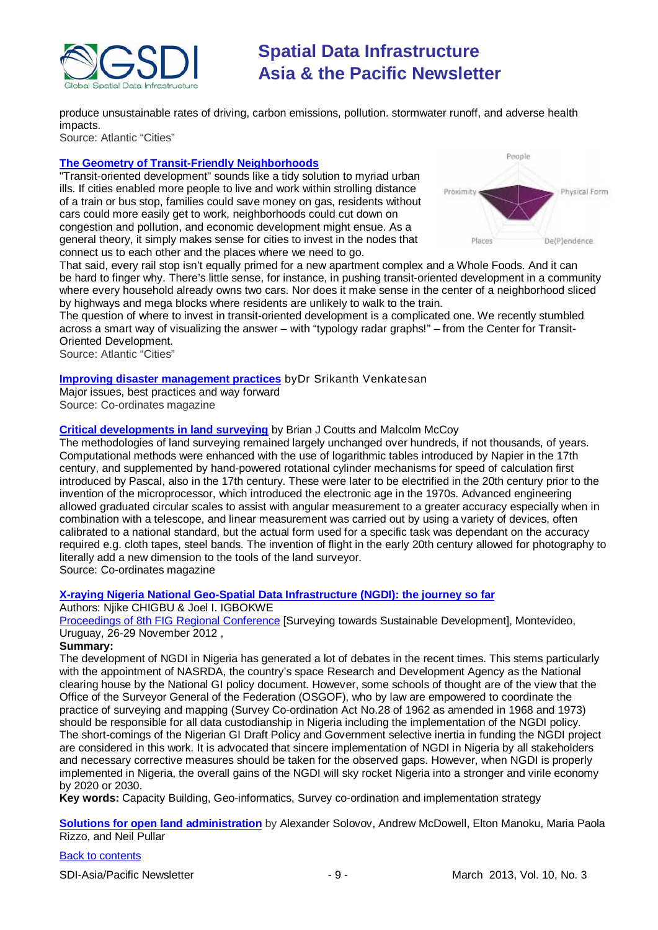

produce unsustainable rates of driving, carbon emissions, pollution. stormwater runoff, and adverse health impacts.

Source: Atlantic "Cities"

#### **[The Geometry of Transit-Friendly Neighborhoods](http://www.theatlanticcities.com/commute/2013/02/geometry-transit-friendly-neighborhoods/4662/)**

"Transit-oriented development" sounds like a tidy solution to myriad urban ills. If cities enabled more people to live and work within strolling distance of a train or bus stop, families could save money on gas, residents without cars could more easily get to work, neighborhoods could cut down on congestion and pollution, and economic development might ensue. As a general theory, it simply makes sense for cities to invest in the nodes that connect us to each other and the places where we need to go.



That said, every rail stop isn't equally primed for a new apartment complex and a Whole Foods. And it can be hard to finger why. There's little sense, for instance, in pushing transit-oriented development in a community where every household already owns two cars. Nor does it make sense in the center of a neighborhood sliced by highways and mega blocks where residents are unlikely to walk to the train.

The question of where to invest in transit-oriented development is a complicated one. We recently stumbled across a smart way of visualizing the answer – with "typology radar graphs!" – from the Center for Transit-Oriented Development.

Source: Atlantic "Cities"

#### **[Improving disaster management practices](http://mycoordinates.org/improving-disaster-management-practices/)** b[yDr Srikanth Venkatesan](http://mycoordinates.org/tag/dr-srikanth-venkatesan/)

Major issues, best practices and way forward

Source: Co-ordinates magazine

#### **[Critical developments in land surveying](http://mycoordinates.org/critical-developments-in-land-surveying/)** by Brian J Coutts and Malcolm McCoy

The methodologies of land surveying remained largely unchanged over hundreds, if not thousands, of years. Computational methods were enhanced with the use of logarithmic tables introduced by Napier in the 17th century, and supplemented by hand-powered rotational cylinder mechanisms for speed of calculation first introduced by Pascal, also in the 17th century. These were later to be electrified in the 20th century prior to the invention of the microprocessor, which introduced the electronic age in the 1970s. Advanced engineering allowed graduated circular scales to assist with angular measurement to a greater accuracy especially when in combination with a telescope, and linear measurement was carried out by using a variety of devices, often calibrated to a national standard, but the actual form used for a specific task was dependant on the accuracy required e.g. cloth tapes, steel bands. The invention of flight in the early 20th century allowed for photography to literally add a new dimension to the tools of the land surveyor. Source: Co-ordinates magazine

**[X-raying Nigeria National Geo-Spatial Data Infrastructure \(NGDI\): the journey so far](http://www.fig.net/pub/uruguay/papers/ts01d/TS01D_chigbu_igbokwe_6281.pdf)**

#### Authors: Nijke CHIGBU & Joel I. IGBOKWE

[Proceedings of 8th FIG Regional Conference](http://www.fig.net/pub/uruguay/techprog.htm) [Surveying towards Sustainable Development], Montevideo, Uruguay, 26-29 November 2012 ,

#### **Summary:**

The development of NGDI in Nigeria has generated a lot of debates in the recent times. This stems particularly with the appointment of NASRDA, the country's space Research and Development Agency as the National clearing house by the National GI policy document. However, some schools of thought are of the view that the Office of the Surveyor General of the Federation (OSGOF), who by law are empowered to coordinate the practice of surveying and mapping (Survey Co-ordination Act No.28 of 1962 as amended in 1968 and 1973) should be responsible for all data custodianship in Nigeria including the implementation of the NGDI policy. The short-comings of the Nigerian GI Draft Policy and Government selective inertia in funding the NGDI project are considered in this work. It is advocated that sincere implementation of NGDI in Nigeria by all stakeholders and necessary corrective measures should be taken for the observed gaps. However, when NGDI is properly implemented in Nigeria, the overall gains of the NGDI will sky rocket Nigeria into a stronger and virile economy by 2020 or 2030.

**Key words:** Capacity Building, Geo-informatics, Survey co-ordination and implementation strategy

**Solutions for open land administration** by Alexander Solovov, Andrew McDowell, Elton Manoku, Maria Paola Rizzo, and Neil Pullar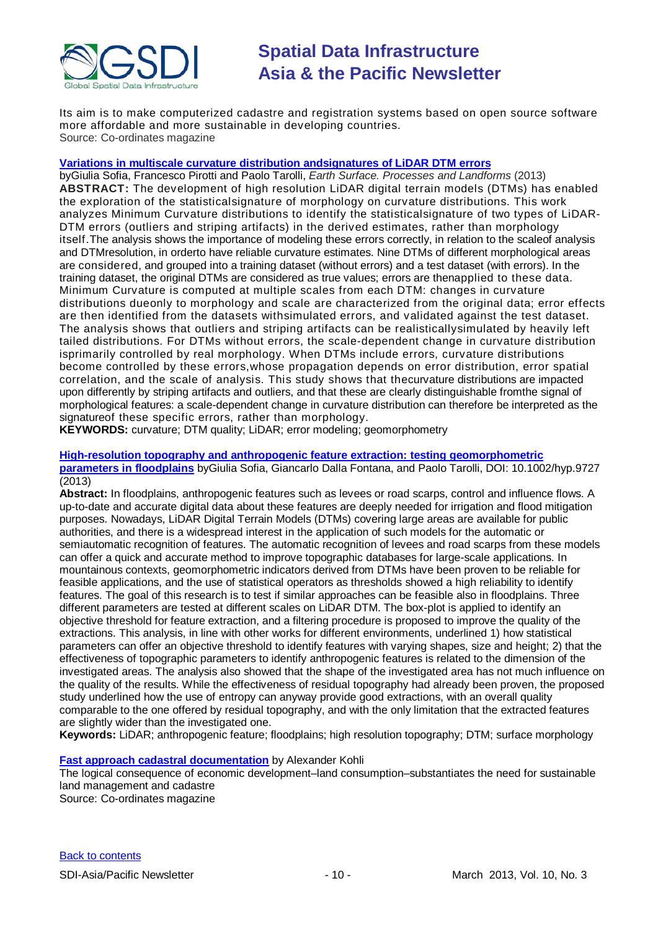

Its aim is to make computerized cadastre and registration systems based on open source software more affordable and more sustainable in developing countries. Source: Co-ordinates magazine

#### **[Variations in multiscale curvature distribution andsignatures of LiDAR DTM errors](http://www.academia.edu/2566803/Variations_in_multiscale_curvature_distribution_and_signatures_of_LiDAR_DTM_errors)**

byGiulia Sofia, Francesco Pirotti and Paolo Tarolli, *Earth Surface. Processes and Landforms* (2013) **ABSTRACT:** The development of high resolution LiDAR digital terrain models (DTMs) has enabled the exploration of the statisticalsignature of morphology on curvature distributions. This work analyzes Minimum Curvature distributions to identify the statisticalsignature of two types of LiDAR-DTM errors (outliers and striping artifacts) in the derived estimates, rather than morphology itself.The analysis shows the importance of modeling these errors correctly, in relation to the scaleof analysis and DTMresolution, in orderto have reliable curvature estimates. Nine DTMs of different morphological areas are considered, and grouped into a training dataset (without errors) and a test dataset (with errors). In the training dataset, the original DTMs are considered as true values; errors are thenapplied to these data. Minimum Curvature is computed at multiple scales from each DTM: changes in curvature distributions dueonly to morphology and scale are characterized from the original data; error effects are then identified from the datasets withsimulated errors, and validated against the test dataset. The analysis shows that outliers and striping artifacts can be realisticallysimulated by heavily left tailed distributions. For DTMs without errors, the scale-dependent change in curvature distribution isprimarily controlled by real morphology. When DTMs include errors, curvature distributions become controlled by these errors,whose propagation depends on error distribution, error spatial correlation, and the scale of analysis. This study shows that thecurvature distributions are impacted upon differently by striping artifacts and outliers, and that these are clearly distinguishable fromthe signal of morphological features: a scale-dependent change in curvature distribution can therefore be interpreted as the signatureof these specific errors, rather than morphology.

**KEYWORDS:** curvature; DTM quality; LiDAR; error modeling; geomorphometry

#### **High-resolution topography and anthropogenic feature extraction: testing geomorphometric parameters in floodplains** byGiulia Sofia, Giancarlo Dalla Fontana, and Paolo Tarolli, DOI: 10.1002/hyp.9727 (2013)

**Abstract:** In floodplains, anthropogenic features such as levees or road scarps, control and influence flows. A up-to-date and accurate digital data about these features are deeply needed for irrigation and flood mitigation purposes. Nowadays, LiDAR Digital Terrain Models (DTMs) covering large areas are available for public authorities, and there is a widespread interest in the application of such models for the automatic or semiautomatic recognition of features. The automatic recognition of levees and road scarps from these models can offer a quick and accurate method to improve topographic databases for large-scale applications. In mountainous contexts, geomorphometric indicators derived from DTMs have been proven to be reliable for feasible applications, and the use of statistical operators as thresholds showed a high reliability to identify features. The goal of this research is to test if similar approaches can be feasible also in floodplains. Three different parameters are tested at different scales on LiDAR DTM. The box-plot is applied to identify an objective threshold for feature extraction, and a filtering procedure is proposed to improve the quality of the extractions. This analysis, in line with other works for different environments, underlined 1) how statistical parameters can offer an objective threshold to identify features with varying shapes, size and height; 2) that the effectiveness of topographic parameters to identify anthropogenic features is related to the dimension of the investigated areas. The analysis also showed that the shape of the investigated area has not much influence on the quality of the results. While the effectiveness of residual topography had already been proven, the proposed study underlined how the use of entropy can anyway provide good extractions, with an overall quality comparable to the one offered by residual topography, and with the only limitation that the extracted features are slightly wider than the investigated one.

**Keywords:** LiDAR; anthropogenic feature; floodplains; high resolution topography; DTM; surface morphology

#### **[Fast approach cadastral documentation](http://mycoordinates.org/fast-approach-cadastral-documentation/)** by Alexander Kohli

The logical consequence of economic development–land consumption–substantiates the need for sustainable land management and cadastre

Source: Co-ordinates magazine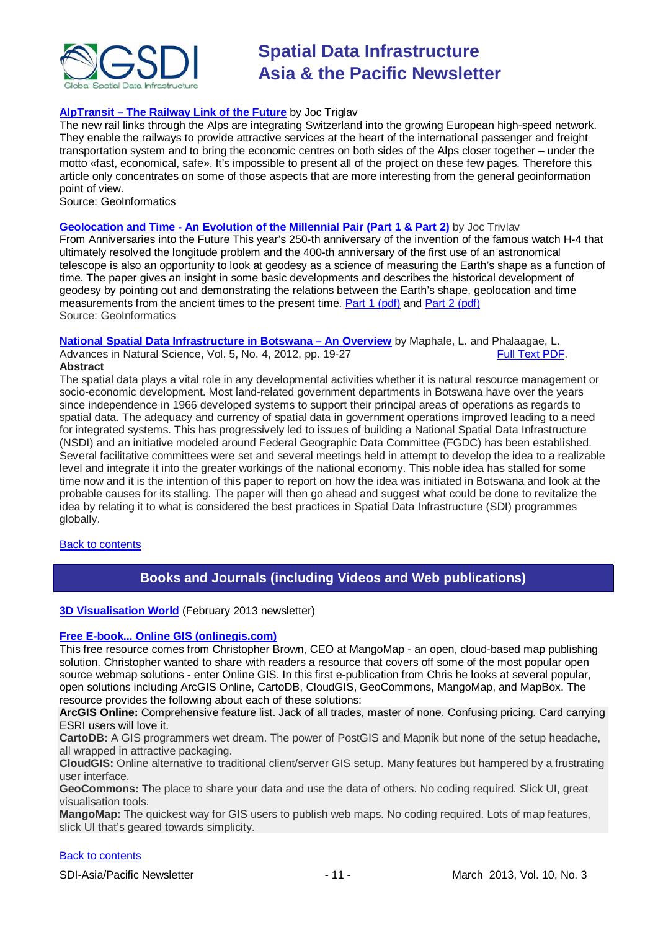

#### **AlpTransit – [The Railway Link of the Future](http://www.academia.edu/2639089/AlpTransit_-_The_Railway_Link_of_the_Future)** by Joc Triglav

The new rail links through the Alps are integrating Switzerland into the growing European high-speed network. They enable the railways to provide attractive services at the heart of the international passenger and freight transportation system and to bring the economic centres on both sides of the Alps closer together – under the motto «fast, economical, safe». It's impossible to present all of the project on these few pages. Therefore this article only concentrates on some of those aspects that are more interesting from the general geoinformation point of view.

Source: GeoInformatics

#### **Geolocation and Time - [An Evolution of the Millennial Pair \(Part 1 & Part 2\)](http://www.academia.edu/2639182/Geolocation_and_Time_-_An_Evolution_of_the_Millennial_Pair_Part_1_and_Part_2_)** by Joc Trivlav

From Anniversaries into the Future This year's 250-th anniversary of the invention of the famous watch H-4 that ultimately resolved the longitude problem and the 400-th anniversary of the first use of an astronomical telescope is also an opportunity to look at geodesy as a science of measuring the Earth's shape as a function of time. The paper gives an insight in some basic developments and describes the historical development of geodesy by pointing out and demonstrating the relations between the Earth's shape, geolocation and time measurements from the ancient times to the present time. [Part 1 \(pdf\)](http://www.academia.edu/attachments/30642210/download_file) and [Part 2 \(pdf\)](http://www.academia.edu/attachments/30642211/download_file) Source: GeoInformatics

**[National Spatial Data Infrastructure in Botswana –](http://cscanada.net/index.php/ans/article/view/j.ans.1715787020120504.1953) An Overview** by Maphale, L. and Phalaagae, L. Advances in Natural Science, Vol. 5, No. 4, 2012, pp. 19-27

#### **Abstract**

The spatial data plays a vital role in any developmental activities whether it is natural resource management or socio-economic development. Most land-related government departments in Botswana have over the years since independence in 1966 developed systems to support their principal areas of operations as regards to spatial data. The adequacy and currency of spatial data in government operations improved leading to a need for integrated systems. This has progressively led to issues of building a National Spatial Data Infrastructure (NSDI) and an initiative modeled around Federal Geographic Data Committee (FGDC) has been established. Several facilitative committees were set and several meetings held in attempt to develop the idea to a realizable level and integrate it into the greater workings of the national economy. This noble idea has stalled for some time now and it is the intention of this paper to report on how the idea was initiated in Botswana and look at the probable causes for its stalling. The paper will then go ahead and suggest what could be done to revitalize the idea by relating it to what is considered the best practices in Spatial Data Infrastructure (SDI) programmes globally.

<span id="page-10-0"></span>[Back to contents](#page-0-0)

## **Books and Journals (including Videos and Web publications)**

#### **[3D Visualisation World](http://visitor.benchmarkemail.com/c/v?e=27708A&c=27A3B&l=42E79F4&email=20i0rPjCDuEQfH2i1glrmJemkgBQcCdv&relid=4C4A98BD)** (February 2013 newsletter)

#### **[Free E-book... Online GIS \(onlinegis.com\)](http://www.onlinegis.com/)**

This free resource comes from Christopher Brown, CEO at MangoMap - an open, cloud-based map publishing solution. Christopher wanted to share with readers a resource that covers off some of the most popular open source webmap solutions - enter Online GIS. In this first e-publication from Chris he looks at several popular, open solutions including ArcGIS Online, CartoDB, CloudGIS, GeoCommons, MangoMap, and MapBox. The resource provides the following about each of these solutions:

**ArcGIS Online:** Comprehensive feature list. Jack of all trades, master of none. Confusing pricing. Card carrying ESRI users will love it.

**CartoDB:** A GIS programmers wet dream. The power of PostGIS and Mapnik but none of the setup headache, all wrapped in attractive packaging.

**CloudGIS:** Online alternative to traditional client/server GIS setup. Many features but hampered by a frustrating user interface.

**GeoCommons:** The place to share your data and use the data of others. No coding required. Slick UI, great visualisation tools.

**MangoMap:** The quickest way for GIS users to publish web maps. No coding required. Lots of map features, slick UI that's geared towards simplicity.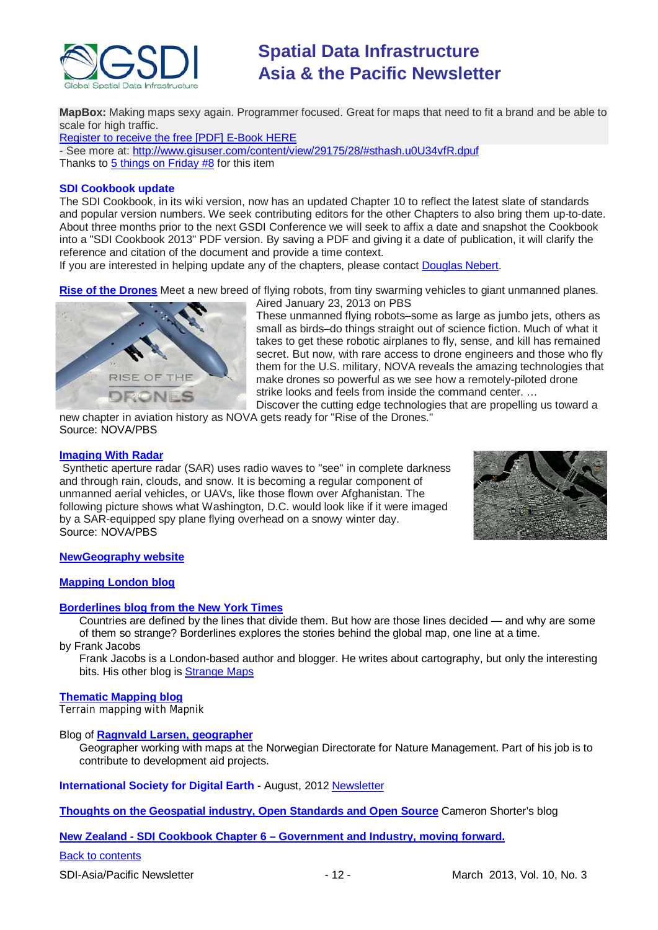

**MapBox:** Making maps sexy again. Programmer focused. Great for maps that need to fit a brand and be able to scale for high traffic.

[Register to receive the free \[PDF\] E-Book HERE](http://www.onlinegis.com/)

- See more at:<http://www.gisuser.com/content/view/29175/28/#sthash.u0U34vfR.dpuf> Thanks to [5 things on Friday #8](http://blog.gisuser.com/2013/02/22/5-things-on-friday-8-maps-apps-opendata-online-gis-and-tracing-water/) for this item

#### **SDI Cookbook update**

The SDI Cookbook, in its wiki version, now has an updated Chapter 10 to reflect the latest slate of standards and popular version numbers. We seek contributing editors for the other Chapters to also bring them up-to-date. About three months prior to the next GSDI Conference we will seek to affix a date and snapshot the Cookbook into a "SDI Cookbook 2013" PDF version. By saving a PDF and giving it a date of publication, it will clarify the reference and citation of the document and provide a time context.

If you are interested in helping update any of the chapters, please contact [Douglas Nebert.](mailto:ddnebert@usgs.gov)

**[Rise of the Drones](http://www.pbs.org/wgbh/nova/military/rise-of-the-drones.html#.UQHwSjzvYYA.twitter)** Meet a new breed of flying robots, from tiny swarming vehicles to giant unmanned planes.



Aired January 23, 2013 on PBS

These unmanned flying robots–some as large as jumbo jets, others as small as birds–do things straight out of science fiction. Much of what it takes to get these robotic airplanes to fly, sense, and kill has remained secret. But now, with rare access to drone engineers and those who fly them for the U.S. military, NOVA reveals the amazing technologies that make drones so powerful as we see how a remotely-piloted drone strike looks and feels from inside the command center. …

Discover the cutting edge technologies that are propelling us toward a new chapter in aviation history as NOVA gets ready for "Rise of the Drones." Source: NOVA/PBS

#### **[Imaging With Radar](http://www.pbs.org/wgbh/nova/military/imaging-radar.html)**

Synthetic aperture radar (SAR) uses radio waves to "see" in complete darkness and through rain, clouds, and snow. It is becoming a regular component of unmanned aerial vehicles, or UAVs, like those flown over Afghanistan. The following picture shows what Washington, D.C. would look like if it were imaged by a SAR-equipped spy plane flying overhead on a snowy winter day. Source: NOVA/PBS



#### **[NewGeography website](http://www.newgeography.com/)**

#### **[Mapping London blog](http://mappinglondon.co.uk/)**

#### **[Borderlines blog from the New York Times](http://opinionator.blogs.nytimes.com/category/borderlines/)**

Countries are defined by the lines that divide them. But how are those lines decided — and why are some of them so strange? Borderlines explores the stories behind the global map, one line at a time.

by Frank Jacobs

Frank Jacobs is a London-based author and blogger. He writes about cartography, but only the interesting bits. His other blog is [Strange Maps](http://bigthink.com/blogs/strange-maps)

#### **[Thematic Mapping blog](http://blog.thematicmapping.org/)**

Terrain mapping with Mapnik

#### Blog of **[Ragnvald Larsen, geographer](http://www.mindland.com/wp/)**

Geographer working with maps at the Norwegian Directorate for Nature Management. Part of his job is to contribute to development aid projects.

**International Society for Digital Earth - August, 2012 [Newsletter](http://www.digitalearth-isde.org/news/isde-newsletter(201208).html)** 

**[Thoughts on the Geospatial industry, Open Standards and Open Source](http://cameronshorter.blogspot.com/2011/06/memoirs-of-cat-herder-coordinating.html)** Cameron Shorter's blog

**New Zealand - SDI Cookbook Chapter 6 – [Government and Industry, moving](http://www.geospatial.govt.nz/sdi-cookbook-chapter-6-government-and-industry-moving-forward) forward.**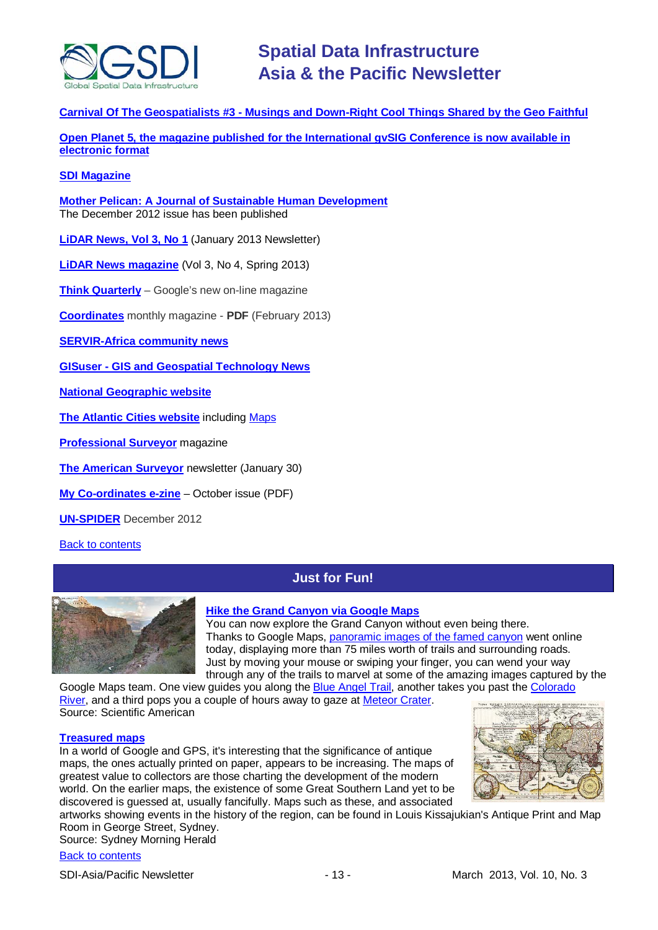

**Carnival Of The Geospatialists #3 - [Musings and Down-Right Cool Things Shared by the Geo Faithful](http://www.gisuser.com/content/view/25690/28/)**

**Open Planet 5, the magazine published for the International gvSIG Conference is now available in [electronic format](http://jornadas.gvsig.org/descargas/magazine)**

#### **[SDI Magazine](http://www.sdimag.com/)**

**[Mother Pelican: A Journal of Sustainable Human Development](http://www.pelicanweb.org/solisustv08n12page1.html)** The December 2012 issue has been published

**[LiDAR News, Vol 3, No 1](http://www.lidarnews.com/newsletter/Vol3No1.htm)** (January 2013 Newsletter)

**[LiDAR News magazine](http://www.lidarnews.com/newsletter/Vol3No4.htm)** (Vol 3, No 4, Spring 2013)

**[Think Quarterly](http://thinkquarterly.co.uk/#aboutthebook)** – Google's new on-line magazine

**[Coordinates](http://mycoordinates.org/pdf/feb13.pdf)** monthly magazine - **PDF** (February 2013)

**[SERVIR-Africa community news](http://www.servirglobal.net/africa/en/News/CommunityNews.aspx)**

**GISuser - [GIS and Geospatial Technology News](http://www.gisuser.com/)**

**[National Geographic website](http://www.nationalgeographic.com/)**

**[The Atlantic Cities website](http://www.theatlanticcities.com/)** including [Maps](http://www.theatlanticcities.com/posts/map/)

**[Professional Surveyor](http://www.profsurv.com/)** magazine

**[The American Surveyor](http://www.amerisurv.com/newsletter/30JAN2013.htm)** newsletter (January 30)

**[My Co-ordinates e-zine](http://mycoordinates.org/pdf/oct12.pdf)** – October issue (PDF)

**[UN-SPIDER](http://www.un-spider.org/about/updates/un-spider-updates-december-2012)** December 2012

<span id="page-12-0"></span>[Back to contents](#page-0-0)

# **Just for Fun!**



#### **[Hike the Grand Canyon](http://www.scientificamerican.com/article.cfm?id=hike-the-grand-canyon-via-google-ma-2013-01&WT.mc_id=SA_CAT_TECH_20130205) via Google Maps**

You can now explore the Grand Canyon without even being there. Thanks to Google Maps, [panoramic images of the famed canyon](http://maps.google.com/help/maps/streetview/gallery/grand-canyon/index.html) went online today, displaying more than 75 miles worth of trails and surrounding roads. Just by moving your mouse or swiping your finger, you can wend your way through any of the trails to marvel at some of the amazing images captured by the

Google Maps team. One view guides you along the [Blue Angel Trail,](https://www.google.com/maps?ll=36.065096,-112.137107&spn=0.285295,0.528374&cbp=12,41.91,,0,9.06&layer=c&panoid=Fa-wHCWazJG6bn7ZjISQCA&t=m&z=12&cbll=36.065096,-112.137107) another takes you past the Colorado [River,](https://www.google.com/maps?ll=36.09956,-112.106834&spn=0.28517,0.528374&cbp=12,268.94,,0,-8.85&layer=c&panoid=HX6jvVUCA2-09O3ndzgDHg&t=m&z=12&cbll=36.09956,-112.106834) and a third pops you a couple of hours away to gaze at [Meteor Crater.](https://www.google.com/maps?ll=34.997941,-110.985947&spn=0.578229,1.056747&cbp=12,145.48,,0,3.59&layer=c&panoid=S2IQmPwHGhJ-YCXugFkM-Q&cbll=35.03165,-111.026837&t=m&z=11) Source: Scientific American

#### **[Treasured maps](http://www.smh.com.au/money/investing/treasured-maps-20130205-2dvgc.html)**

In a world of Google and GPS, it's interesting that the significance of antique maps, the ones actually printed on paper, appears to be increasing. The maps of greatest value to collectors are those charting the development of the modern world. On the earlier maps, the existence of some Great Southern Land yet to be discovered is guessed at, usually fancifully. Maps such as these, and associated



artworks showing events in the history of the region, can be found in Louis Kissajukian's Antique Print and Map Room in George Street, Sydney.

Source: Sydney Morning Herald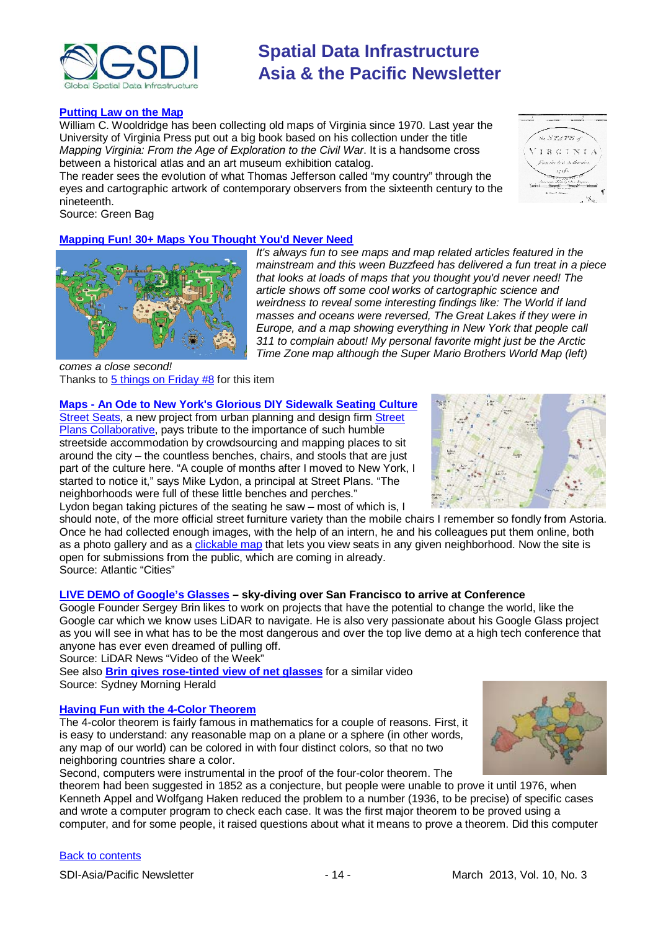

#### **[Putting Law on the Map](http://www.greenbag.org/v16n2/v16n2_ex_ante_map.pdf)**

William C. Wooldridge has been collecting old maps of Virginia since 1970. Last year the University of Virginia Press put out a big book based on his collection under the title *Mapping Virginia: From the Age of Exploration to the Civil War*. It is a handsome cross between a historical atlas and an art museum exhibition catalog.

The reader sees the evolution of what Thomas Jefferson called "my country" through the eyes and cartographic artwork of contemporary observers from the sixteenth century to the nineteenth.

Source: Green Bag

### **[Mapping Fun! 30+ Maps You Thought You'd Never Need](http://www.buzzfeed.com/awesomer/maps-you-never-knew-you-needed)**



*It's always fun to see maps and map related articles featured in the mainstream and this ween Buzzfeed has delivered a fun treat in a piece that looks at loads of maps that you thought you'd never need! The article shows off some cool works of cartographic science and weirdness to reveal some interesting findings like: The World if land masses and oceans were reversed, The Great Lakes if they were in Europe, and a map showing everything in New York that people call 311 to complain about! My personal favorite might just be the Arctic Time Zone map although the Super Mario Brothers World Map (left)* 

*comes a close second!* Thanks to  $5$  things on Friday  $#8$  for this item

### **Maps - [An Ode to New York's Glorious DIY Sidewalk Seating Culture](http://www.theatlanticcities.com/neighborhoods/2013/02/ode-new-yorks-glorious-diy-sidewalk-seating-culture/4817/)**

[Street Seats,](http://www.streetseats.org/) a new project from urban planning and design firm Street [Plans Collaborative,](http://www.streetplans.org/) pays tribute to the importance of such humble streetside accommodation by crowdsourcing and mapping places to sit around the city – the countless benches, chairs, and stools that are just part of the culture here. "A couple of months after I moved to New York, I started to notice it," says Mike Lydon, a principal at Street Plans. "The neighborhoods were full of these little benches and perches."





should note, of the more official street furniture variety than the mobile chairs I remember so fondly from Astoria. Once he had collected enough images, with the help of an intern, he and his colleagues put them online, both as a photo gallery and as a [clickable map](http://www.streetseats.org/) that lets you view seats in any given neighborhood. Now the site is open for submissions from the public, which are coming in already. Source: Atlantic "Cities"

#### **[LIVE DEMO of Google's Glasses](http://www.lidarnews.com/content/view/9519/192/) – sky-diving over San Francisco to arrive at Conference**

Google Founder Sergey Brin likes to work on projects that have the potential to change the world, like the Google car which we know uses LiDAR to navigate. He is also very passionate about his Google Glass project as you will see in what has to be the most dangerous and over the top live demo at a high tech conference that anyone has ever even dreamed of pulling off.

Source: LiDAR News "Video of the Week"

See also **[Brin gives rose-tinted view of net glasses](http://www.smh.com.au/technology/technology-news/brin-gives-rosetinted-view-of-net-glasses-20130228-2f94i.html)** for a similar video Source: Sydney Morning Herald

#### **[Having Fun with the 4-Color Theorem](http://blogs.scientificamerican.com/roots-of-unity/2013/03/01/4-color-map-theorem/?WT_mc_id=SA_CAT_BS_20130301)**

The 4-color theorem is fairly famous in mathematics for a couple of reasons. First, it is easy to understand: any reasonable map on a plane or a sphere (in other words, any map of our world) can be colored in with four distinct colors, so that no two neighboring countries share a color.



Second, computers were instrumental in the proof of the four-color theorem. The

theorem had been suggested in 1852 as a conjecture, but people were unable to prove it until 1976, when Kenneth Appel and Wolfgang Haken reduced the problem to a number (1936, to be precise) of specific cases and wrote a computer program to check each case. It was the first major theorem to be proved using a computer, and for some people, it raised questions about what it means to prove a theorem. Did this computer

#### [Back to contents](#page-0-0)

SDI-Asia/Pacific Newsletter 1992 - 14 - 14 - March 2013, Vol. 10, No. 3

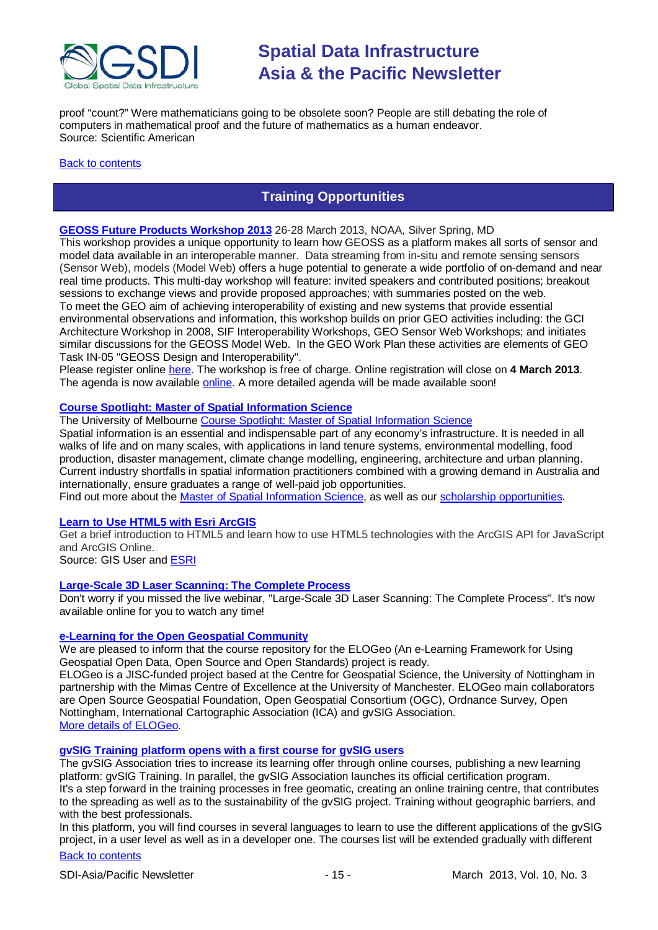

proof "count?" Were mathematicians going to be obsolete soon? People are still debating the [role of](https://simonsfoundation.org/features/science-news/in-computers-we-trust/)  [computers](https://simonsfoundation.org/features/science-news/in-computers-we-trust/) in mathematical proof and the future of mathematics as a human endeavor. Source: Scientific American

#### <span id="page-14-0"></span>[Back to contents](#page-0-0)

# **Training Opportunities**

#### **[GEOSS Future Products Workshop 2013](http://www.ogcnetwork.net/node/1872)** 26-28 March 2013, NOAA, Silver Spring, MD

This workshop provides a unique opportunity to learn how GEOSS as a platform makes all sorts of sensor and model data available in an interoperable manner. Data streaming from in-situ and remote sensing sensors (Sensor Web), models (Model Web) offers a huge potential to generate a wide portfolio of on-demand and near real time products. This multi-day workshop will feature: invited speakers and contributed positions; breakout sessions to exchange views and provide proposed approaches; with summaries posted on the web. To meet the GEO aim of achieving interoperability of existing and new systems that provide essential environmental observations and information, this workshop builds on prior GEO activities including: the GCI Architecture Workshop in 2008, SIF Interoperability Workshops, GEO Sensor Web Workshops; and initiates similar discussions for the GEOSS Model Web. In the GEO Work Plan these activities are elements of GEO Task IN-05 "GEOSS Design and Interoperability".

Please register online [here.](https://portal.opengeospatial.org/public_ogc/register/130325geoss.php) The workshop is free of charge. Online registration will close on **4 March 2013**. The agenda is now available [online.](http://www.ogcnetwork.net/system/files/Agenda_0.pdf) A more detailed agenda will be made available soon!

### **[Course Spotlight: Master of Spatial Information Science](http://themelbourneengineer.eng.unimelb.edu.au/2012/02/course-spotlight-master-of-spatial-information-science/)**

The University of Melbourne [Course Spotlight: Master of Spatial Information Science](http://themelbourneengineer.eng.unimelb.edu.au/2012/02/course-spotlight-master-of-spatial-information-science/)

Spatial information is an essential and indispensable part of any economy's infrastructure. It is needed in all walks of life and on many scales, with applications in land tenure systems, environmental modelling, food production, disaster management, climate change modelling, engineering, architecture and urban planning. Current industry shortfalls in spatial information practitioners combined with a growing demand in Australia and internationally, ensure graduates a range of well-paid job opportunities.

Find out more about the [Master of Spatial Information Science,](http://www.msi.unimelb.edu.au/study/graduate/master-of-spatial-information-science/) as well as our [scholarship opportunities.](http://www.eng.unimelb.edu.au/study/graduate/scholarships.html)

#### **[Learn to Use HTML5 with Esri ArcGIS](http://www.gisuser.com/content/view/25915/2/)**

Get a brief introduction to HTML5 and learn how to use HTML5 technologies with the ArcGIS API for JavaScript and ArcGIS Online.

Source: GIS User and [ESRI](http://training.esri.com/Gateway/index.cfm?fa=seminars.gateway)

#### **[Large-Scale 3D Laser Scanning: The Complete Process](http://www.faro.com/site/resources/details/1373?CampaignId=70170000000bbwr)**

Don't worry if you missed the live webinar, "Large-Scale 3D Laser Scanning: The Complete Process". It's now available online for you to watch any time!

#### **[e-Learning for the Open Geospatial Community](http://elogeo.nottingham.ac.uk/xmlui)**

We are pleased to inform that the course repository for the ELOGeo (An e-Learning Framework for Using Geospatial Open Data, Open Source and Open Standards) project is ready.

ELOGeo is a JISC-funded project based at the Centre for Geospatial Science, the University of Nottingham in partnership with the Mimas Centre of Excellence at the University of Manchester. ELOGeo main collaborators are Open Source Geospatial Foundation, Open Geospatial Consortium (OGC), Ordnance Survey, Open Nottingham, International Cartographic Association (ICA) and gvSIG Association. [More details of ELOGeo.](http://elogeo.nottingham.ac.uk/index.html)

### **gvSIG Training platform opens with a first course for gvSIG users**

The gvSIG Association tries to increase its learning offer through online courses, publishing a new learning platform: gvSIG Training. In parallel, the gvSIG Association launches its official certification program. It's a step forward in the training processes in free geomatic, creating an online training centre, that contributes to the spreading as well as to the sustainability of the gvSIG project. Training without geographic barriers, and with the best professionals.

In this platform, you will find courses in several languages to learn to use the different applications of the gvSIG project, in a user level as well as in a developer one. The courses list will be extended gradually with different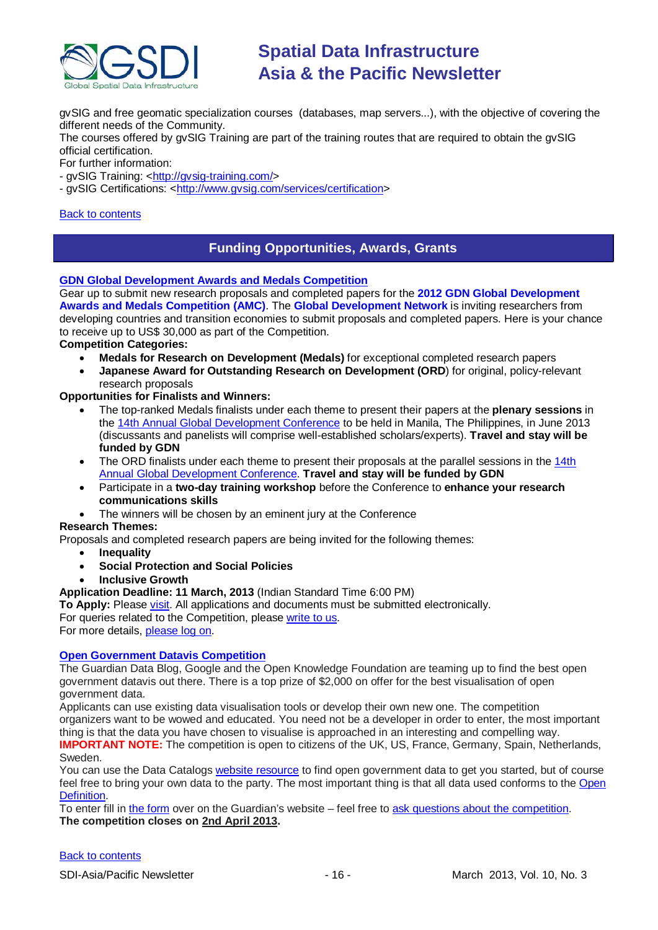

gvSIG and free geomatic specialization courses (databases, map servers...), with the objective of covering the different needs of the Community.

The courses offered by gvSIG Training are part of the training routes that are required to obtain the gvSIG official certification.

For further information:

- gvSIG Training: [<http://gvsig-training.com/>](http://gvsig-training.com/)
- gvSIG Certifications: [<http://www.gvsig.com/services/certification>](http://www.gvsig.com/services/certification)

#### <span id="page-15-0"></span>[Back to contents](#page-0-0)

### **Funding Opportunities, Awards, Grants**

#### **[GDN Global Development Awards and Medals Competition](http://www.gdn.int/html/page2.php?MID=3&SID=24&SSID=70&SCID=32)**

Gear up to submit new research proposals and completed papers for the **2012 GDN Global Development Awards and Medals Competition (AMC)**. The **Global Development Network** is inviting researchers from developing countries and transition economies to submit proposals and completed papers. Here is your chance to receive up to US\$ 30,000 as part of the Competition.

#### **Competition Categories:**

- **Medals for Research on Development (Medals)** for exceptional completed research papers
- **Japanese Award for Outstanding Research on Development (ORD**) for original, policy-relevant research proposals

#### **Opportunities for Finalists and Winners:**

- The top-ranked Medals finalists under each theme to present their papers at the **plenary sessions** in the [14th Annual Global Development Conference](http://www.gdn.int/admin/uploads/editor/files/GDN2012_Conf.pdf) to be held in Manila, The Philippines, in June 2013 (discussants and panelists will comprise well-established scholars/experts). **Travel and stay will be funded by GDN**
- The ORD finalists under each theme to present their proposals at the parallel sessions in the 14th [Annual Global Development Conference.](http://www.gdn.int/admin/uploads/editor/files/GDN2012_Conf.pdf) **Travel and stay will be funded by GDN**
- Participate in a **two-day training workshop** before the Conference to **enhance your research communications skills**
- The winners will be chosen by an eminent jury at the Conference

#### **Research Themes:**

Proposals and completed research papers are being invited for the following themes:

- **Inequality**
- **Social Protection and Social Policies**
- **Inclusive Growth**

**Application Deadline: 11 March, 2013** (Indian Standard Time 6:00 PM)

**To Apply:** Please [visit.](http://www.gdn.int/amc) All applications and documents must be submitted electronically. For queries related to the Competition, please [write to us.](mailto:awards@gdn.int)

For more details, [please log on.](http://www.gdn.int/html/page2.php?MID=3&SID=24&SSID=70&SCID=32)

#### **[Open Government Datavis Competition](http://www.transparency-initiative.org/news/guardian-data-blog-google-and-the-open-knowledge-foundation-launch-the-open-government-datavis-competition)**

The Guardian Data Blog, Google and the Open Knowledge Foundation are teaming up to find the best open government datavis out there. There is a top prize of \$2,000 on offer for the best visualisation of open government data.

Applicants can use existing data visualisation tools or develop their own new one. The competition organizers want to be wowed and educated. You need not be a developer in order to enter, the most important thing is that the data you have chosen to visualise is approached in an interesting and compelling way. **IMPORTANT NOTE:** The competition is open to citizens of the UK, US, France, Germany, Spain, Netherlands, Sweden.

You can use the Data Catalogs [website resource](http://datacatalogs.org/) to find open government data to get you started, but of course feel free to bring your own data to the party. The most important thing is that all data used conforms to the Open [Definition.](http://opendefinition.org/)

To enter fill i[n the form](http://www.guardian.co.uk/news/2013/feb/12/government-data-free-our-data#form) over on the Guardian's website – feel free to [ask questions about the competition.](mailto:datavisualisation@guardian.co.uk) **The competition closes on 2nd April 2013.**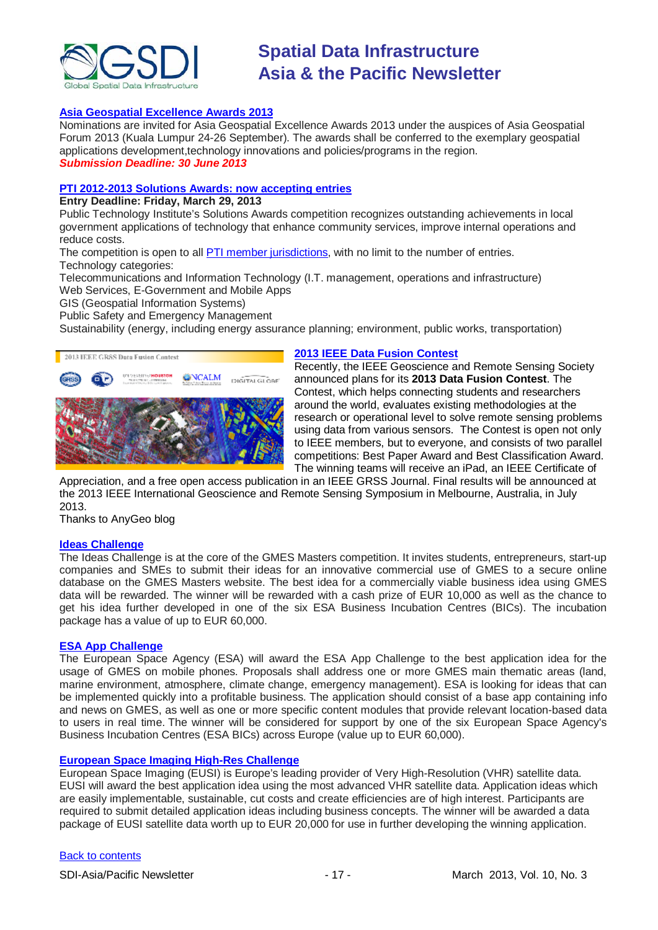

#### **[Asia Geospatial Excellence Awards 2013](http://www.asiageospatialforum.org/2013/nomination.htm)**

Nominations are invited for Asia Geospatial Excellence Awards 2013 under the auspices of Asia Geospatial Forum 2013 (Kuala Lumpur 24-26 September). The awards shall be conferred to the exemplary geospatial applications development,technology innovations and policies/programs in the region. *Submission Deadline: 30 June 2013*

### **[PTI 2012-2013 Solutions Awards: now accepting entries](http://www.pti.org/index.php/ptiee1/more/854/)**

**Entry Deadline: Friday, March 29, 2013**

Public Technology Institute's Solutions Awards competition recognizes outstanding achievements in local government applications of technology that enhance community services, improve internal operations and reduce costs.

The competition is open to all [PTI member jurisdictions,](http://www.pti.org/index.php/ptiee1/more/31) with no limit to the number of entries. Technology categories:

Telecommunications and Information Technology (I.T. management, operations and infrastructure) Web Services, E-Government and Mobile Apps

GIS (Geospatial Information Systems)

Public Safety and Emergency Management

Sustainability (energy, including energy assurance planning; environment, public works, transportation)



#### **[2013 IEEE Data Fusion Contest](http://www.grss-ieee.org/community/technical-committees/data-fusion/data-fusion-contest/)**

Recently, the IEEE Geoscience and Remote Sensing Society announced plans for its **2013 Data Fusion Contest**. The Contest, which helps connecting students and researchers around the world, evaluates existing methodologies at the research or operational level to solve remote sensing problems using data from various sensors. The Contest is open not only to IEEE members, but to everyone, and consists of two parallel competitions: Best Paper Award and Best Classification Award. The winning teams will receive an iPad, an IEEE Certificate of

Appreciation, and a free open access publication in an IEEE GRSS Journal. Final results will be announced at the 2013 IEEE International Geoscience and Remote Sensing Symposium in Melbourne, Australia, in July 2013.

Thanks to AnyGeo blog

#### **[Ideas Challenge](http://www.gmes-masters.com/ideas-challenge)**

The Ideas Challenge is at the core of the GMES Masters competition. It invites students, entrepreneurs, start-up companies and SMEs to submit their ideas for an innovative commercial use of GMES to a secure online database on the GMES Masters website. The best idea for a commercially viable business idea using GMES data will be rewarded. The winner will be rewarded with a cash prize of EUR 10,000 as well as the chance to get his idea further developed in one of the six ESA Business Incubation Centres (BICs). The incubation package has a value of up to EUR 60,000.

#### **[ESA App Challenge](http://www.gmes-masters.com/esa-app-challenge)**

The European Space Agency (ESA) will award the ESA App Challenge to the best application idea for the usage of GMES on mobile phones. Proposals shall address one or more GMES main thematic areas (land, marine environment, atmosphere, climate change, emergency management). ESA is looking for ideas that can be implemented quickly into a profitable business. The application should consist of a base app containing info and news on GMES, as well as one or more specific content modules that provide relevant location-based data to users in real time. The winner will be considered for support by one of the six European Space Agency's Business Incubation Centres (ESA BICs) across Europe (value up to EUR 60,000).

#### **[European Space Imaging High-Res Challenge](http://www.gmes-masters.com/european-space-0)**

European Space Imaging (EUSI) is Europe's leading provider of Very High-Resolution (VHR) satellite data. EUSI will award the best application idea using the most advanced VHR satellite data. Application ideas which are easily implementable, sustainable, cut costs and create efficiencies are of high interest. Participants are required to submit detailed application ideas including business concepts. The winner will be awarded a data package of EUSI satellite data worth up to EUR 20,000 for use in further developing the winning application.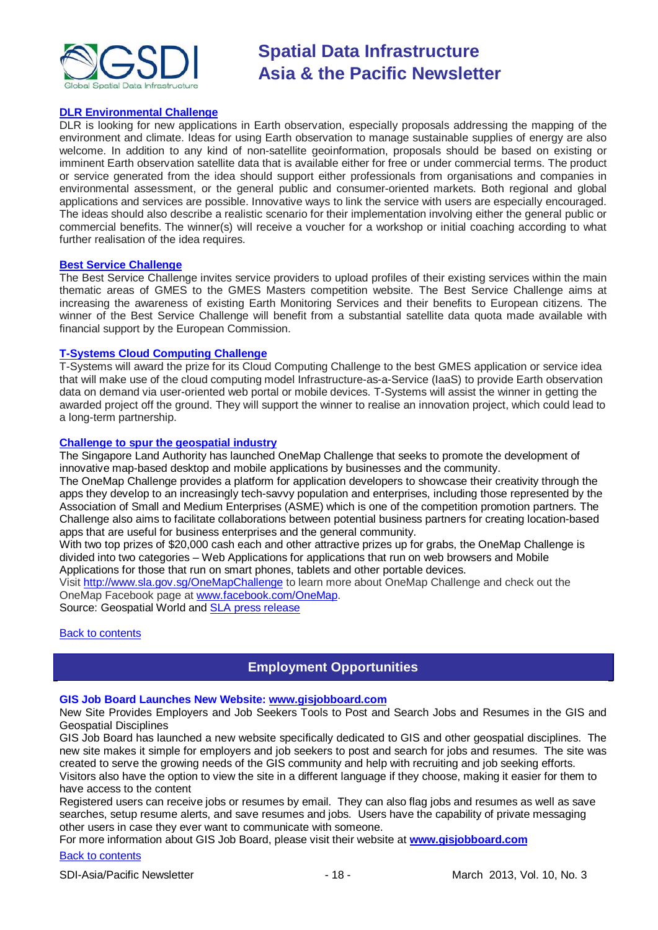

#### **[DLR Environmental Challenge](http://www.gmes-masters.com/dlr-environmental)**

DLR is looking for new applications in Earth observation, especially proposals addressing the mapping of the environment and climate. Ideas for using Earth observation to manage sustainable supplies of energy are also welcome. In addition to any kind of non-satellite geoinformation, proposals should be based on existing or imminent Earth observation satellite data that is available either for free or under commercial terms. The product or service generated from the idea should support either professionals from organisations and companies in environmental assessment, or the general public and consumer-oriented markets. Both regional and global applications and services are possible. Innovative ways to link the service with users are especially encouraged. The ideas should also describe a realistic scenario for their implementation involving either the general public or commercial benefits. The winner(s) will receive a voucher for a workshop or initial coaching according to what further realisation of the idea requires.

#### **[Best Service Challenge](http://www.gmes-masters.com/best-service)**

The Best Service Challenge invites service providers to upload profiles of their existing services within the main thematic areas of GMES to the GMES Masters competition website. The Best Service Challenge aims at increasing the awareness of existing Earth Monitoring Services and their benefits to European citizens. The winner of the Best Service Challenge will benefit from a substantial satellite data quota made available with financial support by the European Commission.

#### **[T-Systems Cloud Computing Challenge](http://www.gmes-masters.com/t-systems-cloud)**

T-Systems will award the prize for its Cloud Computing Challenge to the best GMES application or service idea that will make use of the cloud computing model Infrastructure-as-a-Service (IaaS) to provide Earth observation data on demand via user-oriented web portal or mobile devices. T-Systems will assist the winner in getting the awarded project off the ground. They will support the winner to realise an innovation project, which could lead to a long-term partnership.

#### **[Challenge to spur the geospatial industry](http://geospatialworld.net/index.php?option=com_content&view=article&id=23850:challenge-to-spur-the-geospatial-industry&catid=75:miscellaneous-events)**

The Singapore Land Authority has launched OneMap Challenge that seeks to promote the development of innovative map-based desktop and mobile applications by businesses and the community.

The OneMap Challenge provides a platform for application developers to showcase their creativity through the apps they develop to an increasingly tech-savvy population and enterprises, including those represented by the Association of Small and Medium Enterprises (ASME) which is one of the competition promotion partners. The Challenge also aims to facilitate collaborations between potential business partners for creating location-based apps that are useful for business enterprises and the general community.

With two top prizes of \$20,000 cash each and other attractive prizes up for grabs, the OneMap Challenge is divided into two categories – Web Applications for applications that run on web browsers and Mobile Applications for those that run on smart phones, tablets and other portable devices.

Visit <http://www.sla.gov.sg/OneMapChallenge> to learn more about OneMap Challenge and check out the OneMap Facebook page at [www.facebook.com/OneMap.](http://www.facebook.com/OneMap)

Source: Geospatial World and [SLA press release](http://www.sla.gov.sg/htm/new/new2012/new0401.htm)

#### <span id="page-17-0"></span>**[Back to contents](#page-0-0)**

## **Employment Opportunities**

#### **GIS Job Board Launches New Website: [www.gisjobboard.com](http://www.gisjobboard.com/)**

New Site Provides Employers and Job Seekers Tools to Post and Search Jobs and Resumes in the GIS and Geospatial Disciplines

GIS Job Board has launched a new website specifically dedicated to GIS and other geospatial disciplines. The new site makes it simple for employers and job seekers to post and search for jobs and resumes. The site was created to serve the growing needs of the GIS community and help with recruiting and job seeking efforts. Visitors also have the option to view the site in a different language if they choose, making it easier for them to have access to the content

Registered users can receive jobs or resumes by email. They can also flag jobs and resumes as well as save searches, setup resume alerts, and save resumes and jobs. Users have the capability of private messaging other users in case they ever want to communicate with someone.

For more information about GIS Job Board, please visit their website at **[www.gisjobboard.com](http://www.gisjobboard.com/)**

#### [Back to contents](#page-0-0)

SDI-Asia/Pacific Newsletter 19 - 18 - 18 - March 2013, Vol. 10, No. 3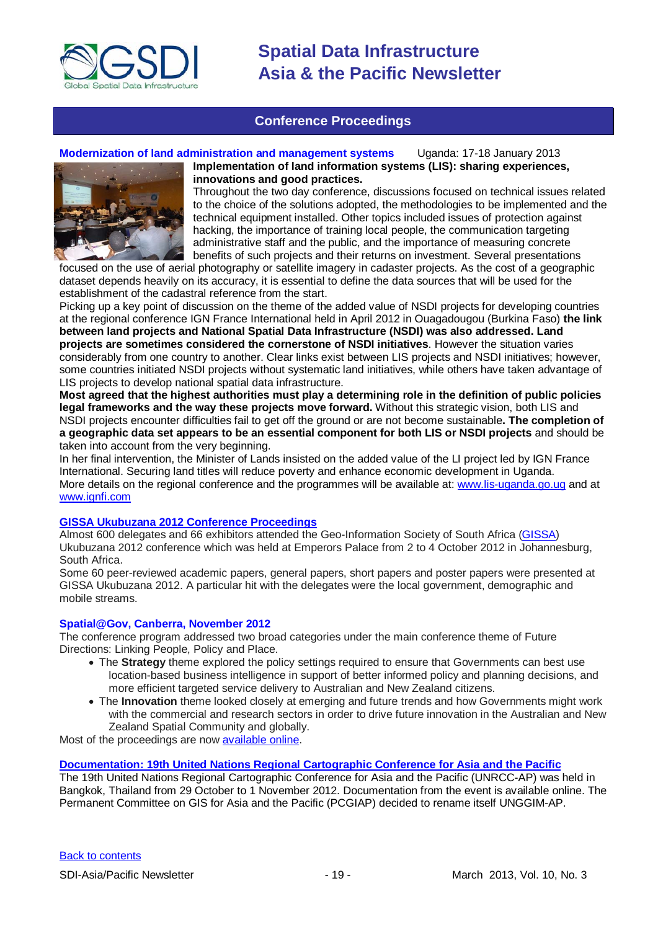

### **Conference Proceedings**

#### <span id="page-18-0"></span>**Modernization of land administration and management systems** Uganda: 17-18 January 2013



**Implementation of land information systems (LIS): sharing experiences, innovations and good practices.** Throughout the two day conference, discussions focused on technical issues related to the choice of the solutions adopted, the methodologies to be implemented and the technical equipment installed. Other topics included issues of protection against hacking, the importance of training local people, the communication targeting

administrative staff and the public, and the importance of measuring concrete benefits of such projects and their returns on investment. Several presentations focused on the use of aerial photography or satellite imagery in cadaster projects. As the cost of a geographic dataset depends heavily on its accuracy, it is essential to define the data sources that will be used for the

establishment of the cadastral reference from the start. Picking up a key point of discussion on the theme of the added value of NSDI projects for developing countries at the regional conference IGN France International held in April 2012 in Ouagadougou (Burkina Faso) **the link between land projects and National Spatial Data Infrastructure (NSDI) was also addressed. Land projects are sometimes considered the cornerstone of NSDI initiatives**. However the situation varies considerably from one country to another. Clear links exist between LIS projects and NSDI initiatives; however, some countries initiated NSDI projects without systematic land initiatives, while others have taken advantage of LIS projects to develop national spatial data infrastructure.

**Most agreed that the highest authorities must play a determining role in the definition of public policies legal frameworks and the way these projects move forward.** Without this strategic vision, both LIS and NSDI projects encounter difficulties fail to get off the ground or are not become sustainable**. The completion of a geographic data set appears to be an essential component for both LIS or NSDI projects** and should be taken into account from the very beginning.

In her final intervention, the Minister of Lands insisted on the added value of the LI project led by IGN France International. Securing land titles will reduce poverty and enhance economic development in Uganda. More details on the regional conference and the programmes will be available at: [www.lis-uganda.go.ug](http://www.lis-uganda.go.ug/) and at [www.ignfi.com](http://www.ignfi.com/)

#### **[GISSA Ukubuzana 2012 Conference Proceedings](http://www.eepublishers.co.za/article/gissa-ukubuzana-2012-conference-proceedings.html)**

Almost 600 delegates and 66 exhibitors attended the Geo-Information Society of South Africa [\(GISSA\)](http://www.gissa.org.za/) Ukubuzana 2012 conference which was held at Emperors Palace from 2 to 4 October 2012 in Johannesburg, South Africa.

Some 60 peer-reviewed academic papers, general papers, short papers and poster papers were presented at GISSA Ukubuzana 2012. A particular hit with the delegates were the local government, demographic and mobile streams.

#### **Spatial@Gov, Canberra, November 2012**

The conference program addressed two broad categories under the main conference theme of Future Directions: Linking People, Policy and Place.

- The **Strategy** theme explored the policy settings required to ensure that Governments can best use location-based business intelligence in support of better informed policy and planning decisions, and more efficient targeted service delivery to Australian and New Zealand citizens.
- The **Innovation** theme looked closely at emerging and future trends and how Governments might work with the commercial and research sectors in order to drive future innovation in the Australian and New Zealand Spatial Community and globally.

Most of the proceedings are now [available online.](http://spatial.cebit.com.au/program.html)

**[Documentation: 19th United Nations Regional Cartographic Conference for Asia and the Pacific](http://unstats.un.org/unsd/geoinfo/RCC/unrccap19.html?)**

The 19th United Nations Regional Cartographic Conference for Asia and the Pacific (UNRCC-AP) was held in Bangkok, Thailand from 29 October to 1 November 2012. Documentation from the event is available online. The Permanent Committee on GIS for Asia and the Pacific (PCGIAP) decided to rename itself UNGGIM-AP.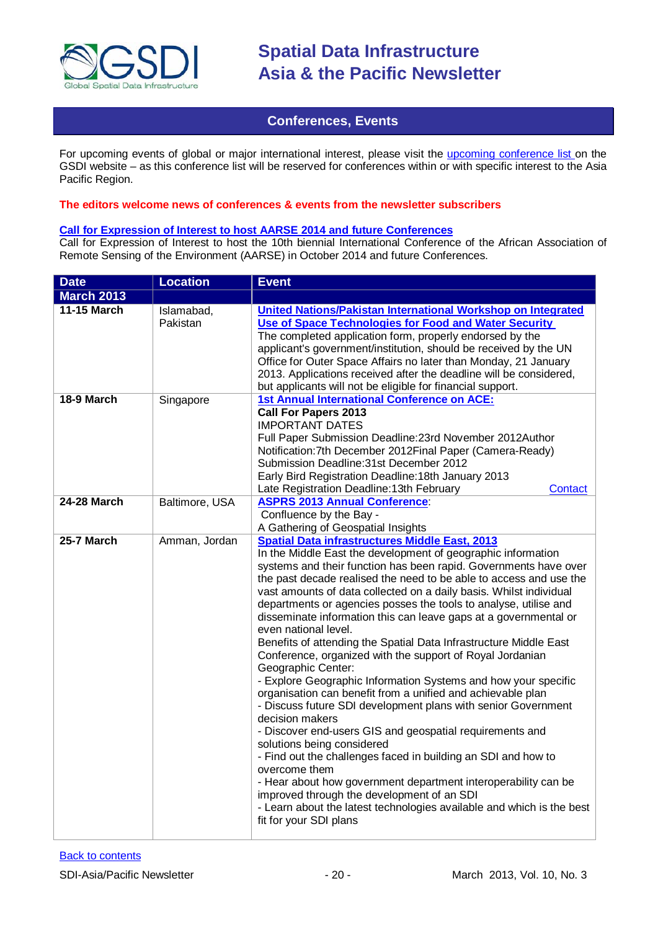

### **Conferences, Events**

<span id="page-19-0"></span>For upcoming events of global or major international interest, please visit the [upcoming conference list o](http://gsdi.org/events/upcnf.asp)n the GSDI website – as this conference list will be reserved for conferences within or with specific interest to the Asia Pacific Region.

#### **The editors welcome news of conferences & events from the newsletter subscribers**

### **[Call for Expression of Interest to host AARSE 2014 and future Conferences](http://lists.gsdi.org/pipermail/sdi-africa/2010-November/001135.html)**

Call for Expression of Interest to host the 10th biennial International Conference of the African Association of Remote Sensing of the Environment (AARSE) in October 2014 and future Conferences.

| <b>Date</b>        | <b>Location</b>        | <b>Event</b>                                                                                                                                                                                                                                                                                                                                                                                                                                                                                                                                                                                                                                                                                                                                                                                                                                                                                                                                                                                                                                                                                                                                                                                                                                                                      |
|--------------------|------------------------|-----------------------------------------------------------------------------------------------------------------------------------------------------------------------------------------------------------------------------------------------------------------------------------------------------------------------------------------------------------------------------------------------------------------------------------------------------------------------------------------------------------------------------------------------------------------------------------------------------------------------------------------------------------------------------------------------------------------------------------------------------------------------------------------------------------------------------------------------------------------------------------------------------------------------------------------------------------------------------------------------------------------------------------------------------------------------------------------------------------------------------------------------------------------------------------------------------------------------------------------------------------------------------------|
| <b>March 2013</b>  |                        |                                                                                                                                                                                                                                                                                                                                                                                                                                                                                                                                                                                                                                                                                                                                                                                                                                                                                                                                                                                                                                                                                                                                                                                                                                                                                   |
| <b>11-15 March</b> | Islamabad,<br>Pakistan | United Nations/Pakistan International Workshop on Integrated<br>Use of Space Technologies for Food and Water Security<br>The completed application form, properly endorsed by the<br>applicant's government/institution, should be received by the UN<br>Office for Outer Space Affairs no later than Monday, 21 January<br>2013. Applications received after the deadline will be considered,<br>but applicants will not be eligible for financial support.                                                                                                                                                                                                                                                                                                                                                                                                                                                                                                                                                                                                                                                                                                                                                                                                                      |
| 18-9 March         | Singapore              | <b>1st Annual International Conference on ACE:</b><br><b>Call For Papers 2013</b><br><b>IMPORTANT DATES</b><br>Full Paper Submission Deadline: 23rd November 2012Author<br>Notification: 7th December 2012 Final Paper (Camera-Ready)<br>Submission Deadline: 31st December 2012<br>Early Bird Registration Deadline: 18th January 2013<br>Late Registration Deadline: 13th February<br>Contact                                                                                                                                                                                                                                                                                                                                                                                                                                                                                                                                                                                                                                                                                                                                                                                                                                                                                   |
| <b>24-28 March</b> | Baltimore, USA         | <b>ASPRS 2013 Annual Conference:</b><br>Confluence by the Bay -<br>A Gathering of Geospatial Insights                                                                                                                                                                                                                                                                                                                                                                                                                                                                                                                                                                                                                                                                                                                                                                                                                                                                                                                                                                                                                                                                                                                                                                             |
| 25-7 March         | Amman, Jordan          | <b>Spatial Data infrastructures Middle East, 2013</b><br>In the Middle East the development of geographic information<br>systems and their function has been rapid. Governments have over<br>the past decade realised the need to be able to access and use the<br>vast amounts of data collected on a daily basis. Whilst individual<br>departments or agencies posses the tools to analyse, utilise and<br>disseminate information this can leave gaps at a governmental or<br>even national level.<br>Benefits of attending the Spatial Data Infrastructure Middle East<br>Conference, organized with the support of Royal Jordanian<br>Geographic Center:<br>- Explore Geographic Information Systems and how your specific<br>organisation can benefit from a unified and achievable plan<br>- Discuss future SDI development plans with senior Government<br>decision makers<br>- Discover end-users GIS and geospatial requirements and<br>solutions being considered<br>- Find out the challenges faced in building an SDI and how to<br>overcome them<br>- Hear about how government department interoperability can be<br>improved through the development of an SDI<br>- Learn about the latest technologies available and which is the best<br>fit for your SDI plans |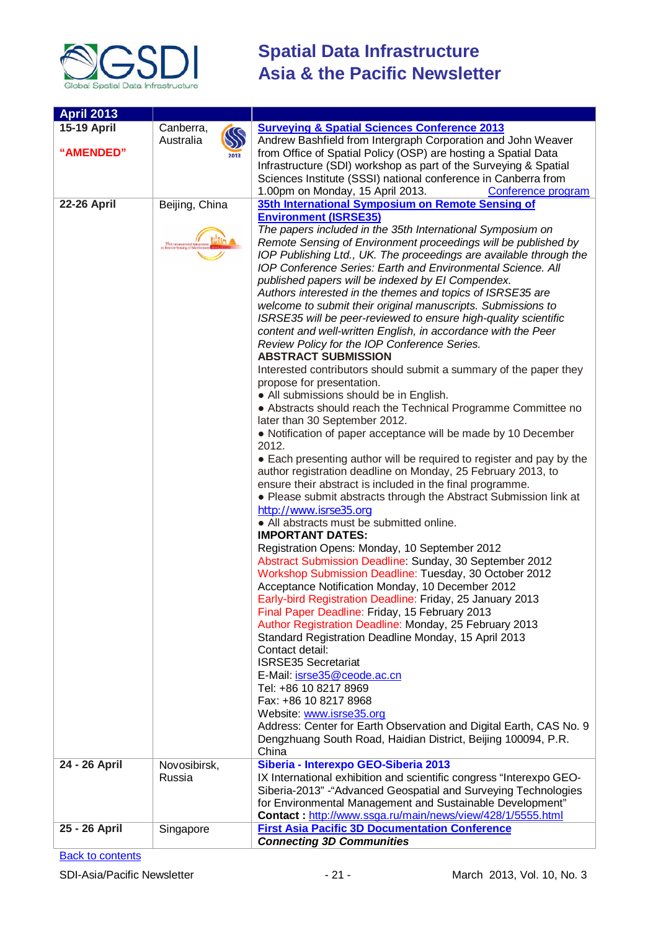

| <b>April 2013</b>  |                  |                                                                                                |
|--------------------|------------------|------------------------------------------------------------------------------------------------|
| <b>15-19 April</b> | Canberra,        | <b>Surveying &amp; Spatial Sciences Conference 2013</b>                                        |
|                    | SS<br>Australia  | Andrew Bashfield from Intergraph Corporation and John Weaver                                   |
| "AMENDED"          | 2013             | from Office of Spatial Policy (OSP) are hosting a Spatial Data                                 |
|                    |                  | Infrastructure (SDI) workshop as part of the Surveying & Spatial                               |
|                    |                  | Sciences Institute (SSSI) national conference in Canberra from                                 |
|                    |                  | 1.00pm on Monday, 15 April 2013.<br>Conference program                                         |
| <b>22-26 April</b> | Beijing, China   | 35th International Symposium on Remote Sensing of                                              |
|                    |                  | <b>Environment (ISRSE35)</b>                                                                   |
|                    |                  | The papers included in the 35th International Symposium on                                     |
|                    | 35th Internation | Remote Sensing of Environment proceedings will be published by                                 |
|                    |                  | IOP Publishing Ltd., UK. The proceedings are available through the                             |
|                    |                  | <b>IOP Conference Series: Earth and Environmental Science. All</b>                             |
|                    |                  | published papers will be indexed by EI Compendex.                                              |
|                    |                  | Authors interested in the themes and topics of ISRSE35 are                                     |
|                    |                  | welcome to submit their original manuscripts. Submissions to                                   |
|                    |                  | ISRSE35 will be peer-reviewed to ensure high-quality scientific                                |
|                    |                  | content and well-written English, in accordance with the Peer                                  |
|                    |                  | Review Policy for the IOP Conference Series.                                                   |
|                    |                  | <b>ABSTRACT SUBMISSION</b>                                                                     |
|                    |                  | Interested contributors should submit a summary of the paper they<br>propose for presentation. |
|                    |                  | • All submissions should be in English.                                                        |
|                    |                  | • Abstracts should reach the Technical Programme Committee no                                  |
|                    |                  | later than 30 September 2012.                                                                  |
|                    |                  | • Notification of paper acceptance will be made by 10 December                                 |
|                    |                  | 2012.                                                                                          |
|                    |                  | • Each presenting author will be required to register and pay by the                           |
|                    |                  | author registration deadline on Monday, 25 February 2013, to                                   |
|                    |                  | ensure their abstract is included in the final programme.                                      |
|                    |                  | • Please submit abstracts through the Abstract Submission link at                              |
|                    |                  | http://www.isrse35.org                                                                         |
|                    |                  | • All abstracts must be submitted online.                                                      |
|                    |                  | <b>IMPORTANT DATES:</b>                                                                        |
|                    |                  | Registration Opens: Monday, 10 September 2012                                                  |
|                    |                  | Abstract Submission Deadline: Sunday, 30 September 2012                                        |
|                    |                  | Workshop Submission Deadline: Tuesday, 30 October 2012                                         |
|                    |                  | Acceptance Notification Monday, 10 December 2012                                               |
|                    |                  | Early-bird Registration Deadline: Friday, 25 January 2013                                      |
|                    |                  | Final Paper Deadline: Friday, 15 February 2013                                                 |
|                    |                  | Author Registration Deadline: Monday, 25 February 2013                                         |
|                    |                  | Standard Registration Deadline Monday, 15 April 2013                                           |
|                    |                  | Contact detail:                                                                                |
|                    |                  | <b>ISRSE35 Secretariat</b><br>E-Mail: isrse35@ceode.ac.cn                                      |
|                    |                  | Tel: +86 10 8217 8969                                                                          |
|                    |                  | Fax: +86 10 8217 8968                                                                          |
|                    |                  | Website: www.isrse35.org                                                                       |
|                    |                  | Address: Center for Earth Observation and Digital Earth, CAS No. 9                             |
|                    |                  | Dengzhuang South Road, Haidian District, Beijing 100094, P.R.                                  |
|                    |                  | China                                                                                          |
| 24 - 26 April      | Novosibirsk,     | Siberia - Interexpo GEO-Siberia 2013                                                           |
|                    | Russia           | IX International exhibition and scientific congress "Interexpo GEO-                            |
|                    |                  | Siberia-2013" - "Advanced Geospatial and Surveying Technologies                                |
|                    |                  | for Environmental Management and Sustainable Development"                                      |
|                    |                  | Contact: http://www.ssga.ru/main/news/view/428/1/5555.html                                     |
| 25 - 26 April      | Singapore        | <b>First Asia Pacific 3D Documentation Conference</b>                                          |
|                    |                  | <b>Connecting 3D Communities</b>                                                               |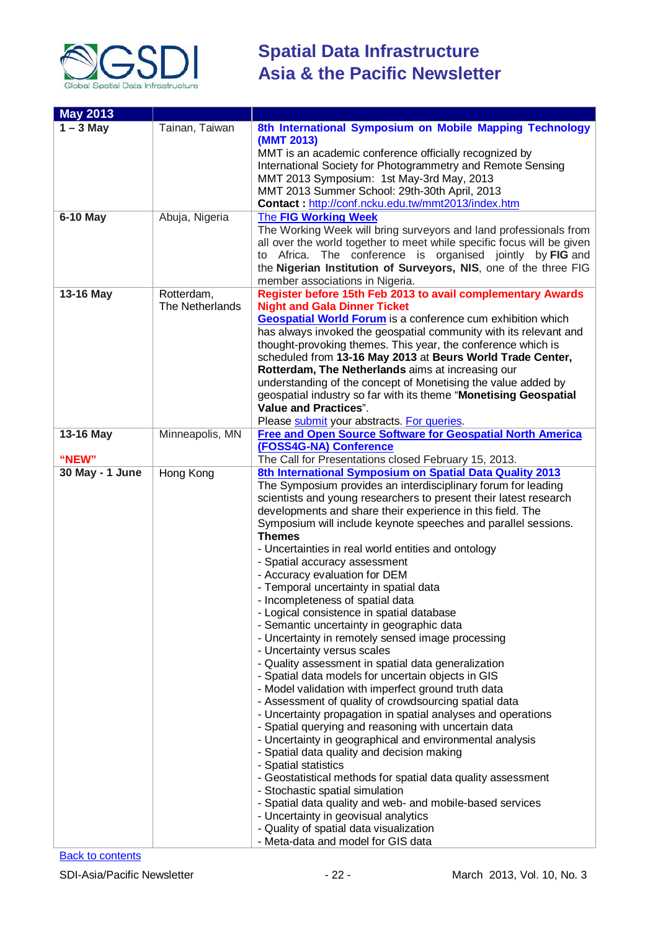

| <b>May 2013</b> |                               |                                                                                                                                                                                                                                                                                                                                                                                                                                                                                                                                                                                                                                                                                                                                                                                                                                                                                                                                                                                                                                                                                                                                                                                                                                                                                                                                                                                                                                                                                                                      |
|-----------------|-------------------------------|----------------------------------------------------------------------------------------------------------------------------------------------------------------------------------------------------------------------------------------------------------------------------------------------------------------------------------------------------------------------------------------------------------------------------------------------------------------------------------------------------------------------------------------------------------------------------------------------------------------------------------------------------------------------------------------------------------------------------------------------------------------------------------------------------------------------------------------------------------------------------------------------------------------------------------------------------------------------------------------------------------------------------------------------------------------------------------------------------------------------------------------------------------------------------------------------------------------------------------------------------------------------------------------------------------------------------------------------------------------------------------------------------------------------------------------------------------------------------------------------------------------------|
| $1 - 3$ May     | Tainan, Taiwan                | 8th International Symposium on Mobile Mapping Technology<br>(MMT 2013)<br>MMT is an academic conference officially recognized by<br>International Society for Photogrammetry and Remote Sensing<br>MMT 2013 Symposium: 1st May-3rd May, 2013<br>MMT 2013 Summer School: 29th-30th April, 2013<br>Contact: http://conf.ncku.edu.tw/mmt2013/index.htm                                                                                                                                                                                                                                                                                                                                                                                                                                                                                                                                                                                                                                                                                                                                                                                                                                                                                                                                                                                                                                                                                                                                                                  |
| 6-10 May        | Abuja, Nigeria                | <b>The FIG Working Week</b><br>The Working Week will bring surveyors and land professionals from<br>all over the world together to meet while specific focus will be given<br>Africa. The conference is organised jointly by FIG and<br>to<br>the Nigerian Institution of Surveyors, NIS, one of the three FIG<br>member associations in Nigeria.                                                                                                                                                                                                                                                                                                                                                                                                                                                                                                                                                                                                                                                                                                                                                                                                                                                                                                                                                                                                                                                                                                                                                                    |
| 13-16 May       | Rotterdam,<br>The Netherlands | Register before 15th Feb 2013 to avail complementary Awards<br><b>Night and Gala Dinner Ticket</b><br><b>Geospatial World Forum</b> is a conference cum exhibition which<br>has always invoked the geospatial community with its relevant and<br>thought-provoking themes. This year, the conference which is<br>scheduled from 13-16 May 2013 at Beurs World Trade Center,<br>Rotterdam, The Netherlands aims at increasing our<br>understanding of the concept of Monetising the value added by<br>geospatial industry so far with its theme "Monetising Geospatial<br><b>Value and Practices".</b><br>Please submit your abstracts. For queries.                                                                                                                                                                                                                                                                                                                                                                                                                                                                                                                                                                                                                                                                                                                                                                                                                                                                  |
| 13-16 May       | Minneapolis, MN               | <b>Free and Open Source Software for Geospatial North America</b><br>(FOSS4G-NA) Conference                                                                                                                                                                                                                                                                                                                                                                                                                                                                                                                                                                                                                                                                                                                                                                                                                                                                                                                                                                                                                                                                                                                                                                                                                                                                                                                                                                                                                          |
| "NEW"           |                               | The Call for Presentations closed February 15, 2013.                                                                                                                                                                                                                                                                                                                                                                                                                                                                                                                                                                                                                                                                                                                                                                                                                                                                                                                                                                                                                                                                                                                                                                                                                                                                                                                                                                                                                                                                 |
| 30 May - 1 June | Hong Kong                     | 8th International Symposium on Spatial Data Quality 2013<br>The Symposium provides an interdisciplinary forum for leading<br>scientists and young researchers to present their latest research<br>developments and share their experience in this field. The<br>Symposium will include keynote speeches and parallel sessions.<br><b>Themes</b><br>- Uncertainties in real world entities and ontology<br>- Spatial accuracy assessment<br>- Accuracy evaluation for DEM<br>- Temporal uncertainty in spatial data<br>- Incompleteness of spatial data<br>- Logical consistence in spatial database<br>- Semantic uncertainty in geographic data<br>- Uncertainty in remotely sensed image processing<br>- Uncertainty versus scales<br>- Quality assessment in spatial data generalization<br>- Spatial data models for uncertain objects in GIS<br>- Model validation with imperfect ground truth data<br>- Assessment of quality of crowdsourcing spatial data<br>- Uncertainty propagation in spatial analyses and operations<br>- Spatial querying and reasoning with uncertain data<br>- Uncertainty in geographical and environmental analysis<br>- Spatial data quality and decision making<br>- Spatial statistics<br>- Geostatistical methods for spatial data quality assessment<br>- Stochastic spatial simulation<br>- Spatial data quality and web- and mobile-based services<br>- Uncertainty in geovisual analytics<br>- Quality of spatial data visualization<br>- Meta-data and model for GIS data |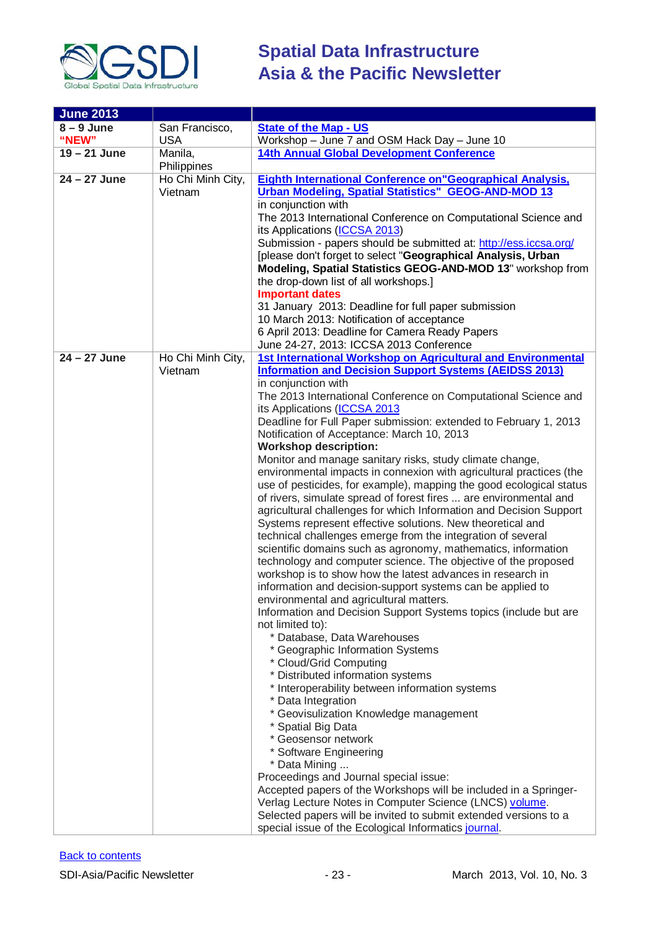

| <b>June 2013</b> |                   |                                                                     |
|------------------|-------------------|---------------------------------------------------------------------|
| $8 - 9$ June     | San Francisco,    | <b>State of the Map - US</b>                                        |
| "NEW"            | <b>USA</b>        | Workshop - June 7 and OSM Hack Day - June 10                        |
| $19 - 21$ June   | Manila,           | <b>14th Annual Global Development Conference</b>                    |
|                  | Philippines       |                                                                     |
| $24 - 27$ June   | Ho Chi Minh City, | <b>Eighth International Conference on "Geographical Analysis,</b>   |
|                  | Vietnam           | <b>Urban Modeling, Spatial Statistics" GEOG-AND-MOD 13</b>          |
|                  |                   | in conjunction with                                                 |
|                  |                   | The 2013 International Conference on Computational Science and      |
|                  |                   |                                                                     |
|                  |                   | its Applications (ICCSA 2013)                                       |
|                  |                   | Submission - papers should be submitted at: http://ess.iccsa.org/   |
|                  |                   | [please don't forget to select "Geographical Analysis, Urban        |
|                  |                   | Modeling, Spatial Statistics GEOG-AND-MOD 13" workshop from         |
|                  |                   | the drop-down list of all workshops.]                               |
|                  |                   | <b>Important dates</b>                                              |
|                  |                   | 31 January 2013: Deadline for full paper submission                 |
|                  |                   | 10 March 2013: Notification of acceptance                           |
|                  |                   | 6 April 2013: Deadline for Camera Ready Papers                      |
|                  |                   | June 24-27, 2013: ICCSA 2013 Conference                             |
| $24 - 27$ June   | Ho Chi Minh City, | 1st International Workshop on Agricultural and Environmental        |
|                  | Vietnam           | <b>Information and Decision Support Systems (AEIDSS 2013)</b>       |
|                  |                   | in conjunction with                                                 |
|                  |                   | The 2013 International Conference on Computational Science and      |
|                  |                   | its Applications (ICCSA 2013                                        |
|                  |                   | Deadline for Full Paper submission: extended to February 1, 2013    |
|                  |                   | Notification of Acceptance: March 10, 2013                          |
|                  |                   | <b>Workshop description:</b>                                        |
|                  |                   | Monitor and manage sanitary risks, study climate change,            |
|                  |                   | environmental impacts in connexion with agricultural practices (the |
|                  |                   | use of pesticides, for example), mapping the good ecological status |
|                  |                   | of rivers, simulate spread of forest fires  are environmental and   |
|                  |                   | agricultural challenges for which Information and Decision Support  |
|                  |                   | Systems represent effective solutions. New theoretical and          |
|                  |                   | technical challenges emerge from the integration of several         |
|                  |                   |                                                                     |
|                  |                   | scientific domains such as agronomy, mathematics, information       |
|                  |                   | technology and computer science. The objective of the proposed      |
|                  |                   | workshop is to show how the latest advances in research in          |
|                  |                   | information and decision-support systems can be applied to          |
|                  |                   | environmental and agricultural matters.                             |
|                  |                   | Information and Decision Support Systems topics (include but are    |
|                  |                   | not limited to):                                                    |
|                  |                   | * Database, Data Warehouses                                         |
|                  |                   | * Geographic Information Systems                                    |
|                  |                   | * Cloud/Grid Computing                                              |
|                  |                   | * Distributed information systems                                   |
|                  |                   | * Interoperability between information systems                      |
|                  |                   | * Data Integration                                                  |
|                  |                   | * Geovisulization Knowledge management                              |
|                  |                   | * Spatial Big Data                                                  |
|                  |                   | * Geosensor network                                                 |
|                  |                   | * Software Engineering                                              |
|                  |                   | * Data Mining                                                       |
|                  |                   | Proceedings and Journal special issue:                              |
|                  |                   | Accepted papers of the Workshops will be included in a Springer-    |
|                  |                   | Verlag Lecture Notes in Computer Science (LNCS) volume.             |
|                  |                   | Selected papers will be invited to submit extended versions to a    |
|                  |                   | special issue of the Ecological Informatics journal.                |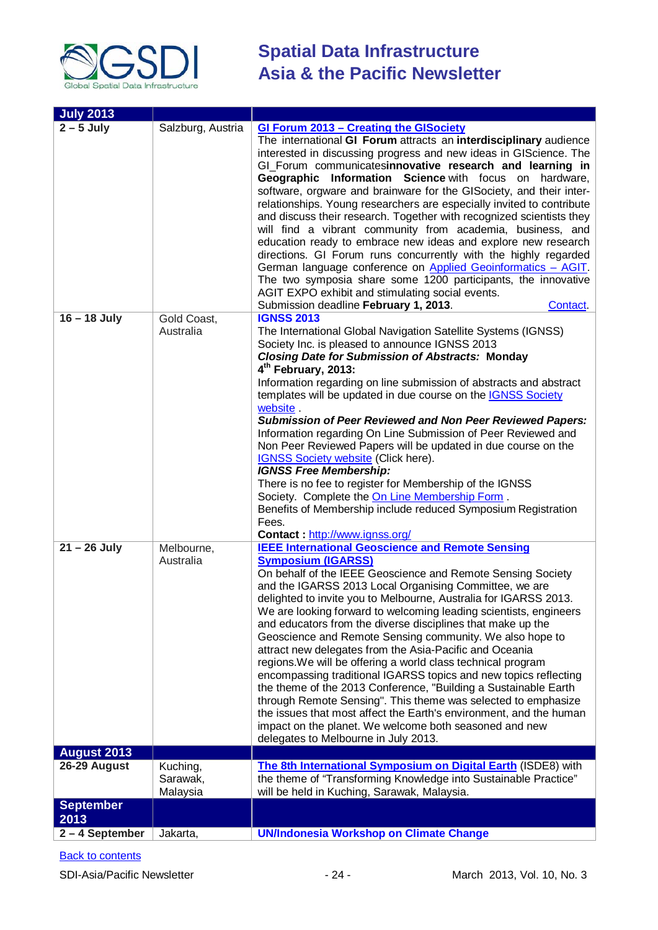

| <b>July 2013</b>         |                                  |                                                                                                                                                                                                                                                                                                                                                                                                                                                                                                                                                                                                                                                                                                                                                                                                                                                                                                                                                                                              |
|--------------------------|----------------------------------|----------------------------------------------------------------------------------------------------------------------------------------------------------------------------------------------------------------------------------------------------------------------------------------------------------------------------------------------------------------------------------------------------------------------------------------------------------------------------------------------------------------------------------------------------------------------------------------------------------------------------------------------------------------------------------------------------------------------------------------------------------------------------------------------------------------------------------------------------------------------------------------------------------------------------------------------------------------------------------------------|
| $2 - 5$ July             | Salzburg, Austria                | <b>GI Forum 2013 - Creating the GISociety</b><br>The international GI Forum attracts an interdisciplinary audience<br>interested in discussing progress and new ideas in GIScience. The<br>GI_Forum communicatesinnovative research and learning in<br>Geographic Information Science with focus on hardware,<br>software, orgware and brainware for the GISociety, and their inter-<br>relationships. Young researchers are especially invited to contribute<br>and discuss their research. Together with recognized scientists they<br>will find a vibrant community from academia, business, and<br>education ready to embrace new ideas and explore new research<br>directions. GI Forum runs concurrently with the highly regarded<br>German language conference on Applied Geoinformatics - AGIT.<br>The two symposia share some 1200 participants, the innovative<br>AGIT EXPO exhibit and stimulating social events.<br>Submission deadline February 1, 2013.<br><b>Contact</b>      |
| $16 - 18$ July           | Gold Coast,<br>Australia         | <b>IGNSS 2013</b><br>The International Global Navigation Satellite Systems (IGNSS)<br>Society Inc. is pleased to announce IGNSS 2013<br><b>Closing Date for Submission of Abstracts: Monday</b><br>4 <sup>th</sup> February, 2013:<br>Information regarding on line submission of abstracts and abstract<br>templates will be updated in due course on the <b>IGNSS Society</b><br>website.<br><b>Submission of Peer Reviewed and Non Peer Reviewed Papers:</b><br>Information regarding On Line Submission of Peer Reviewed and<br>Non Peer Reviewed Papers will be updated in due course on the<br><b>IGNSS Society website (Click here).</b><br><b>IGNSS Free Membership:</b><br>There is no fee to register for Membership of the IGNSS<br>Society. Complete the On Line Membership Form.<br>Benefits of Membership include reduced Symposium Registration<br>Fees.<br>Contact: http://www.ignss.org/                                                                                    |
| $21 - 26$ July           | Melbourne,<br>Australia          | <b>IEEE International Geoscience and Remote Sensing</b><br><b>Symposium (IGARSS)</b><br>On behalf of the IEEE Geoscience and Remote Sensing Society<br>and the IGARSS 2013 Local Organising Committee, we are<br>delighted to invite you to Melbourne, Australia for IGARSS 2013.<br>We are looking forward to welcoming leading scientists, engineers<br>and educators from the diverse disciplines that make up the<br>Geoscience and Remote Sensing community. We also hope to<br>attract new delegates from the Asia-Pacific and Oceania<br>regions. We will be offering a world class technical program<br>encompassing traditional IGARSS topics and new topics reflecting<br>the theme of the 2013 Conference, "Building a Sustainable Earth<br>through Remote Sensing". This theme was selected to emphasize<br>the issues that most affect the Earth's environment, and the human<br>impact on the planet. We welcome both seasoned and new<br>delegates to Melbourne in July 2013. |
| <b>August 2013</b>       |                                  |                                                                                                                                                                                                                                                                                                                                                                                                                                                                                                                                                                                                                                                                                                                                                                                                                                                                                                                                                                                              |
| 26-29 August             | Kuching,<br>Sarawak,<br>Malaysia | The 8th International Symposium on Digital Earth (ISDE8) with<br>the theme of "Transforming Knowledge into Sustainable Practice"<br>will be held in Kuching, Sarawak, Malaysia.                                                                                                                                                                                                                                                                                                                                                                                                                                                                                                                                                                                                                                                                                                                                                                                                              |
| <b>September</b><br>2013 |                                  |                                                                                                                                                                                                                                                                                                                                                                                                                                                                                                                                                                                                                                                                                                                                                                                                                                                                                                                                                                                              |
| 2-4 September            | Jakarta,                         | <b>UN/Indonesia Workshop on Climate Change</b>                                                                                                                                                                                                                                                                                                                                                                                                                                                                                                                                                                                                                                                                                                                                                                                                                                                                                                                                               |